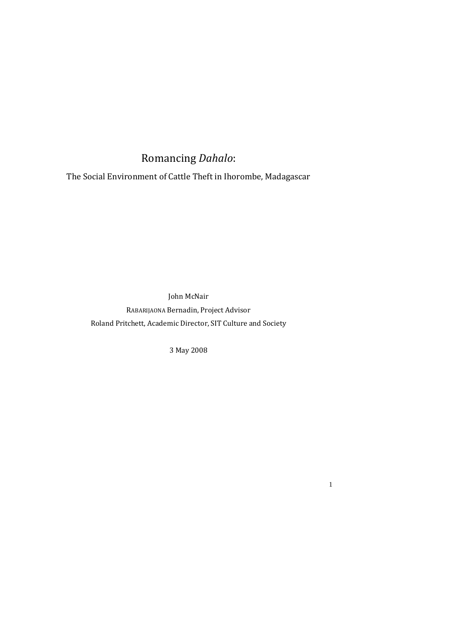# Romancing *Dahalo*:

The Social Environment of Cattle Theft in Ihorombe, Madagascar

John McNair

RABARIJAONA Bernadin, Project Advisor Roland Pritchett, Academic Director, SIT Culture and Society

3 May 2008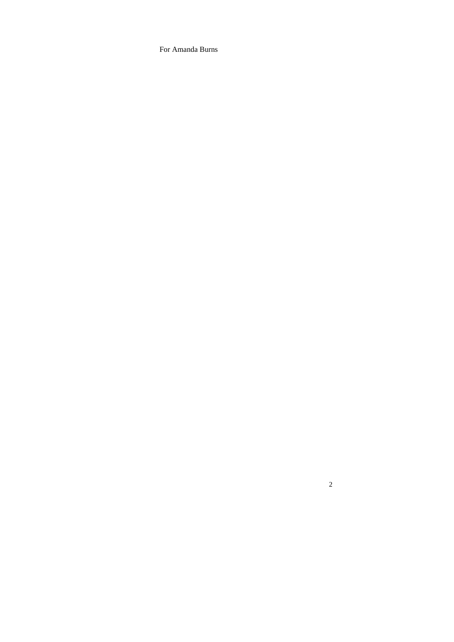For Amanda Burns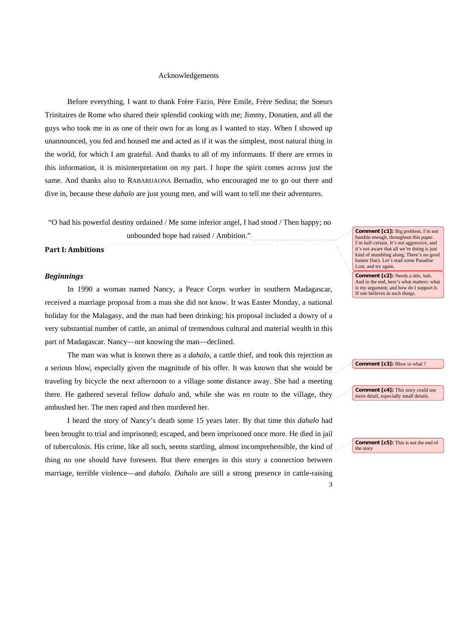#### Acknowledgements

Before everything, I want to thank Frère Fazio, Père Emile, Frère Sedina; the Soeurs Trinitaires de Rome who shared their splendid cooking with me; Jimmy, Donatien, and all the guys who took me in as one of their own for as long as I wanted to stay. When I showed up unannounced, you fed and housed me and acted as if it was the simplest, most natural thing in the world, for which I am grateful. And thanks to all of my informants. If there are errors in this information, it is misinterpretation on my part. I hope the spirit comes across just the same. And thanks also to RABARIJAONA Bernadin, who encouraged me to go out there and dive in, because these *dahalo* are just young men, and will want to tell me their adventures.

"O had his powerful destiny ordained / Me some inferior angel, I had stood / Then happy; no

unbounded hope had raised / Ambition."

#### **Part I: Ambitions**

# *Beginnings*

In 1990 a woman named Nancy, a Peace Corps worker in southern Madagascar, received a marriage proposal from a man she did not know. It was Easter Monday, a national holiday for the Malagasy, and the man had been drinking; his proposal included a dowry of a very substantial number of cattle, an animal of tremendous cultural and material wealth in this part of Madagascar. Nancy—not knowing the man—declined.

The man was what is known there as a *dahalo*, a cattle thief, and took this rejection as a serious blow, especially given the magnitude of his offer. It was known that she would be traveling by bicycle the next afternoon to a village some distance away. She had a meeting there. He gathered several fellow *dahalo* and, while she was en route to the village, they ambushed her. The men raped and then murdered her.

I heard the story of Nancy's death some 15 years later. By that time this *dahalo* had been brought to trial and imprisoned; escaped, and been imprisoned once more. He died in jail of tuberculosis. His crime, like all such, seems startling, almost incomprehensible, the kind of thing no one should have foreseen. But there emerges in this story a connection between marriage, terrible violence—and *dahalo. Dahalo* are still a strong presence in cattle-raising

**Comment [c1]:** Big problem. I'm not humble enough, throughout this paper. I'm half-certain. It's not aggressive, and it's not aware that all we're doing is just kind of stumbling along. There's no good humor (bar). Let's read some Paradise Lost, and try again.

**Comment [c2]:** Needs a title, huh. And in the end, here's what matters: what is my argument; and how do I support it. If one believes in such things.

**Comment [c3]:** Blow to what ?

**Comment [c4]:** This story could use more detail, especially small details.

**Comment [c5]:** This is not the end of the story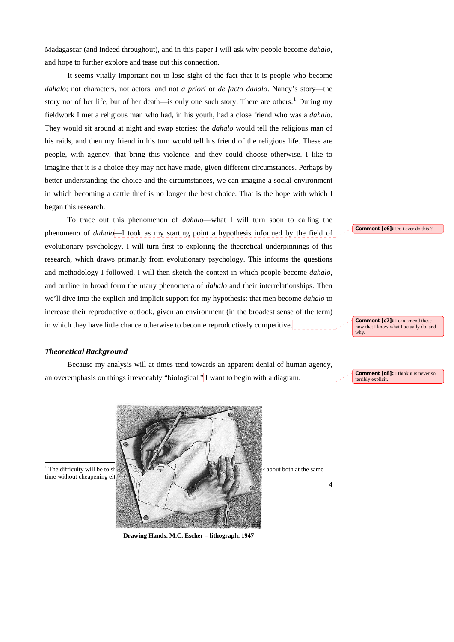Madagascar (and indeed throughout), and in this paper I will ask why people become *dahalo*, and hope to further explore and tease out this connection.

It seems vitally important not to lose sight of the fact that it is people who become *dahalo*; not characters, not actors, and not *a priori* or *de facto dahalo*. Nancy's story—the story not of her life, but of her death—is only one such story. There are others.<sup>[1](#page-3-0)</sup> During my fieldwork I met a religious man who had, in his youth, had a close friend who was a *dahalo*. They would sit around at night and swap stories: the *dahalo* would tell the religious man of his raids, and then my friend in his turn would tell his friend of the religious life. These are people, with agency, that bring this violence, and they could choose otherwise. I like to imagine that it is a choice they may not have made, given different circumstances. Perhaps by better understanding the choice and the circumstances, we can imagine a social environment in which becoming a cattle thief is no longer the best choice. That is the hope with which I began this research.

To trace out this phenomenon of *dahalo*—what I will turn soon to calling the phenomen*a* of *dahalo*—I took as my starting point a hypothesis informed by the field of evolutionary psychology. I will turn first to exploring the theoretical underpinnings of this research, which draws primarily from evolutionary psychology. This informs the questions and methodology I followed. I will then sketch the context in which people become *dahalo*, and outline in broad form the many phenomena of *dahalo* and their interrelationships. Then we'll dive into the explicit and implicit support for my hypothesis: that men become *dahalo* to increase their reproductive outlook, given an environment (in the broadest sense of the term) in which they have little chance otherwise to become reproductively competitive.

### *Theoretical Background*

Because my analysis will at times tend towards an apparent denial of human agency, an overemphasis on things irrevocably "biological," I want to begin with a diagram.

**Comment [c8]:** I think it is never so terribly explicit

**Comment [c7]:** I can amend these now that I know what I actually do, and

why.

**Comment [c6]:** Do i ever do this ?

<span id="page-3-0"></span>



**Drawing Hands, M.C. Escher – lithograph, 1947**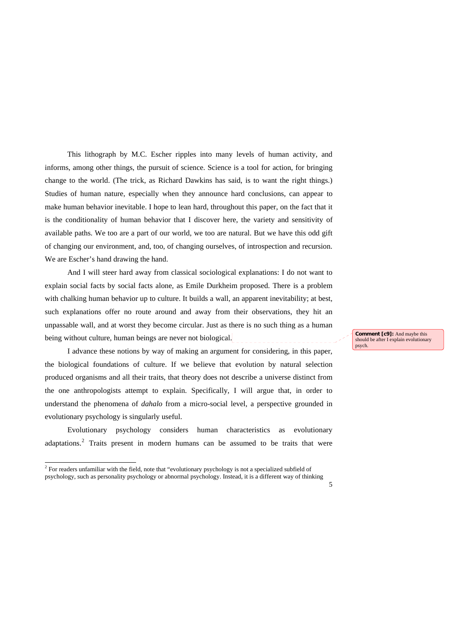This lithograph by M.C. Escher ripples into many levels of human activity, and informs, among other things, the pursuit of science. Science is a tool for action, for bringing change to the world. (The trick, as Richard Dawkins has said, is to want the right things.) Studies of human nature, especially when they announce hard conclusions, can appear to make human behavior inevitable. I hope to lean hard, throughout this paper, on the fact that it is the conditionality of human behavior that I discover here, the variety and sensitivity of available paths. We too are a part of our world, we too are natural. But we have this odd gift of changing our environment, and, too, of changing ourselves, of introspection and recursion. We are Escher's hand drawing the hand.

And I will steer hard away from classical sociological explanations: I do not want to explain social facts by social facts alone, as Emile Durkheim proposed. There is a problem with chalking human behavior up to culture. It builds a wall, an apparent inevitability; at best, such explanations offer no route around and away from their observations, they hit an unpassable wall, and at worst they become circular. Just as there is no such thing as a human being without culture, human beings are never not biological.

I advance these notions by way of making an argument for considering, in this paper, the biological foundations of culture. If we believe that evolution by natural selection produced organisms and all their traits, that theory does not describe a universe distinct from the one anthropologists attempt to explain. Specifically, I will argue that, in order to understand the phenomena of *dahalo* from a micro-social level, a perspective grounded in evolutionary psychology is singularly useful.

Evolutionary psychology considers human characteristics as evolutionary adaptations.<sup>[2](#page-5-0)</sup> Traits present in modern humans can be assumed to be traits that were

-

**Comment [c9]:** And maybe this should be after I explain evolutionary psych.

<sup>&</sup>lt;sup>2</sup> For readers unfamiliar with the field, note that "evolutionary psychology is not a specialized subfield of psychology, such as personality psychology or abnormal psychology. Instead, it is a different way of thinking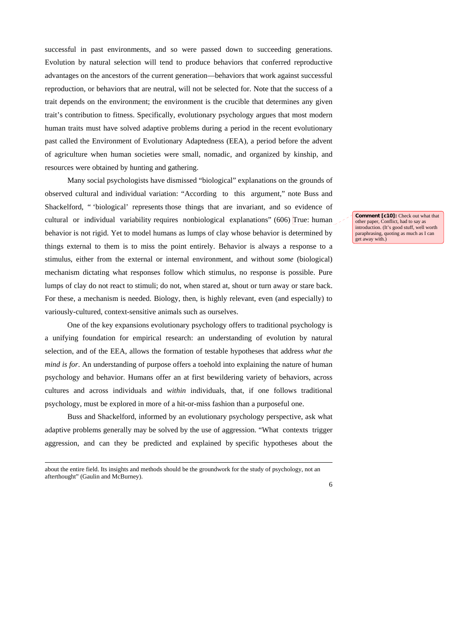successful in past environments, and so were passed down to succeeding generations. Evolution by natural selection will tend to produce behaviors that conferred reproductive advantages on the ancestors of the current generation—behaviors that work against successful reproduction, or behaviors that are neutral, will not be selected for. Note that the success of a trait depends on the environment; the environment is the crucible that determines any given trait's contribution to fitness. Specifically, evolutionary psychology argues that most modern human traits must have solved adaptive problems during a period in the recent evolutionary past called the Environment of Evolutionary Adaptedness (EEA), a period before the advent of agriculture when human societies were small, nomadic, and organized by kinship, and resources were obtained by hunting and gathering.

Many social psychologists have dismissed "biological" explanations on the grounds of observed cultural and individual variation: "According to this argument," note Buss and Shackelford, " 'biological' represents those things that are invariant, and so evidence of cultural or individual variability requires nonbiological explanations" (606) True: human behavior is not rigid. Yet to model humans as lumps of clay whose behavior is determined by things external to them is to miss the point entirely. Behavior is always a response to a stimulus, either from the external or internal environment, and without *some* (biological) mechanism dictating what responses follow which stimulus, no response is possible. Pure lumps of clay do not react to stimuli; do not, when stared at, shout or turn away or stare back. For these, a mechanism is needed. Biology, then, is highly relevant, even (and especially) to variously-cultured, context-sensitive animals such as ourselves.

One of the key expansions evolutionary psychology offers to traditional psychology is a unifying foundation for empirical research: an understanding of evolution by natural selection, and of the EEA, allows the formation of testable hypotheses that address *what the mind is for*. An understanding of purpose offers a toehold into explaining the nature of human psychology and behavior. Humans offer an at first bewildering variety of behaviors, across cultures and across individuals and *within* individuals, that, if one follows traditional psychology, must be explored in more of a hit-or-miss fashion than a purposeful one.

Buss and Shackelford, informed by an evolutionary psychology perspective, ask what adaptive problems generally may be solved by the use of aggression. "What contexts trigger aggression, and can they be predicted and explained by specific hypotheses about the

<span id="page-5-0"></span>about the entire field. Its insights and methods should be the groundwork for the study of psychology, not an afterthought" (Gaulin and McBurney).

-

**Comment [c10]:** Check out what that other paper, Conflict, had to say as introduction. (It's good stuff, well worth paraphrasing, quoting as much as I can get away with.)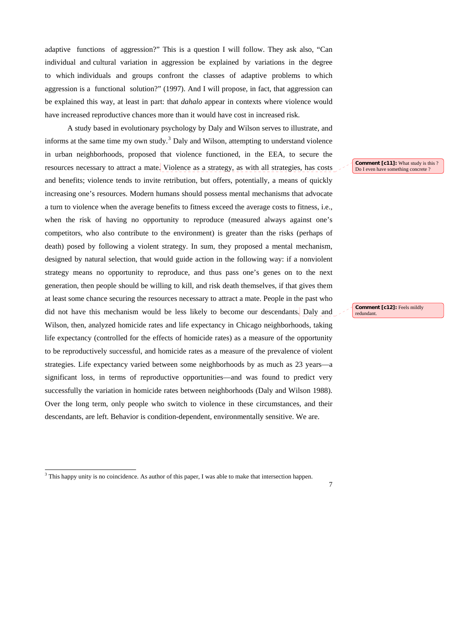adaptive functions of aggression?" This is a question I will follow. They ask also, "Can individual and cultural variation in aggression be explained by variations in the degree to which individuals and groups confront the classes of adaptive problems to which aggression is a functional solution?" (1997). And I will propose, in fact, that aggression can be explained this way, at least in part: that *dahalo* appear in contexts where violence would have increased reproductive chances more than it would have cost in increased risk.

A study based in evolutionary psychology by Daly and Wilson serves to illustrate, and informs at the same time my own study. $3$  Daly and Wilson, attempting to understand violence in urban neighborhoods, proposed that violence functioned, in the EEA, to secure the resources necessary to attract a mate. Violence as a strategy, as with all strategies, has costs and benefits; violence tends to invite retribution, but offers, potentially, a means of quickly increasing one's resources. Modern humans should possess mental mechanisms that advocate a turn to violence when the average benefits to fitness exceed the average costs to fitness, i.e., when the risk of having no opportunity to reproduce (measured always against one's competitors, who also contribute to the environment) is greater than the risks (perhaps of death) posed by following a violent strategy. In sum, they proposed a mental mechanism, designed by natural selection, that would guide action in the following way: if a nonviolent strategy means no opportunity to reproduce, and thus pass one's genes on to the next generation, then people should be willing to kill, and risk death themselves, if that gives them at least some chance securing the resources necessary to attract a mate. People in the past who did not have this mechanism would be less likely to become our descendants. Daly and Wilson, then, analyzed homicide rates and life expectancy in Chicago neighborhoods, taking life expectancy (controlled for the effects of homicide rates) as a measure of the opportunity to be reproductively successful, and homicide rates as a measure of the prevalence of violent strategies. Life expectancy varied between some neighborhoods by as much as 23 years—a significant loss, in terms of reproductive opportunities—and was found to predict very successfully the variation in homicide rates between neighborhoods (Daly and Wilson 1988). Over the long term, only people who switch to violence in these circumstances, and their descendants, are left. Behavior is condition-dependent, environmentally sensitive. We are.

-

7

#### **Comment [c11]:** What study is this ? Do I even have something concrete ?

**Comment [c12]:** Feels mildly redundant.

<span id="page-6-0"></span><sup>&</sup>lt;sup>3</sup> This happy unity is no coincidence. As author of this paper, I was able to make that intersection happen.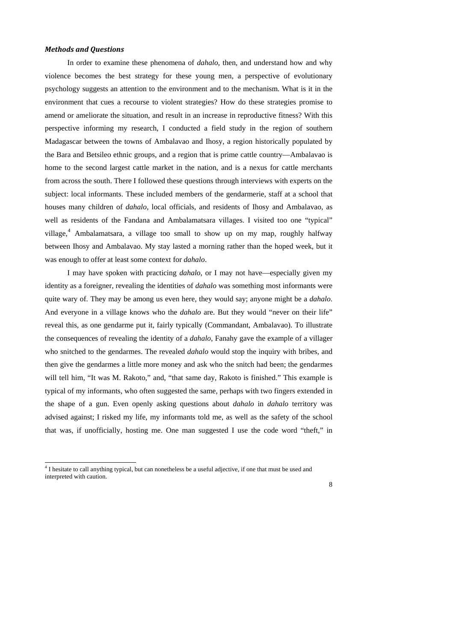#### *Methods and Questions*

-

 In order to examine these phenomena of *dahalo*, then, and understand how and why violence becomes the best strategy for these young men, a perspective of evolutionary psychology suggests an attention to the environment and to the mechanism. What is it in the environment that cues a recourse to violent strategies? How do these strategies promise to amend or ameliorate the situation, and result in an increase in reproductive fitness? With this perspective informing my research, I conducted a field study in the region of southern Madagascar between the towns of Ambalavao and Ihosy, a region historically populated by the Bara and Betsileo ethnic groups, and a region that is prime cattle country—Ambalavao is home to the second largest cattle market in the nation, and is a nexus for cattle merchants from across the south. There I followed these questions through interviews with experts on the subject: local informants. These included members of the gendarmerie, staff at a school that houses many children of *dahalo*, local officials, and residents of Ihosy and Ambalavao, as well as residents of the Fandana and Ambalamatsara villages. I visited too one "typical" village,<sup>[4](#page-7-0)</sup> Ambalamatsara, a village too small to show up on my map, roughly halfway between Ihosy and Ambalavao. My stay lasted a morning rather than the hoped week, but it was enough to offer at least some context for *dahalo*.

I may have spoken with practicing *dahalo*, or I may not have—especially given my identity as a foreigner, revealing the identities of *dahalo* was something most informants were quite wary of. They may be among us even here, they would say; anyone might be a *dahalo*. And everyone in a village knows who the *dahalo* are. But they would "never on their life" reveal this, as one gendarme put it, fairly typically (Commandant, Ambalavao). To illustrate the consequences of revealing the identity of a *dahalo*, Fanahy gave the example of a villager who snitched to the gendarmes. The revealed *dahalo* would stop the inquiry with bribes, and then give the gendarmes a little more money and ask who the snitch had been; the gendarmes will tell him, "It was M. Rakoto," and, "that same day, Rakoto is finished." This example is typical of my informants, who often suggested the same, perhaps with two fingers extended in the shape of a gun. Even openly asking questions about *dahalo* in *dahalo* territory was advised against; I risked my life, my informants told me, as well as the safety of the school that was, if unofficially, hosting me. One man suggested I use the code word "theft," in

<span id="page-7-0"></span><sup>&</sup>lt;sup>4</sup> I hesitate to call anything typical, but can nonetheless be a useful adjective, if one that must be used and interpreted with caution.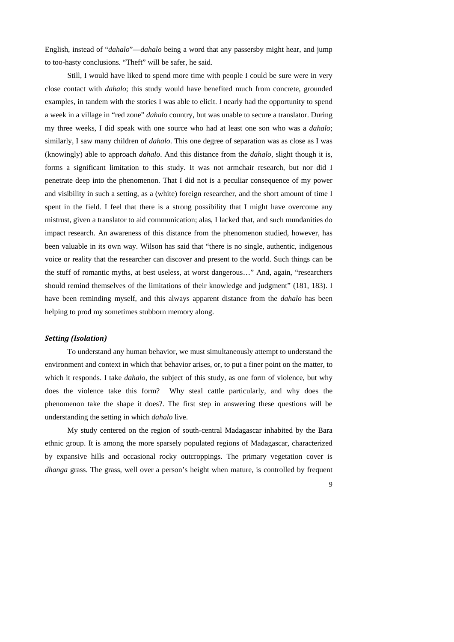English, instead of "*dahalo*"—*dahalo* being a word that any passersby might hear, and jump to too-hasty conclusions. "Theft" will be safer, he said.

Still, I would have liked to spend more time with people I could be sure were in very close contact with *dahalo*; this study would have benefited much from concrete, grounded examples, in tandem with the stories I was able to elicit. I nearly had the opportunity to spend a week in a village in "red zone" *dahalo* country, but was unable to secure a translator. During my three weeks, I did speak with one source who had at least one son who was a *dahalo*; similarly, I saw many children of *dahalo*. This one degree of separation was as close as I was (knowingly) able to approach *dahalo*. And this distance from the *dahalo*, slight though it is, forms a significant limitation to this study. It was not armchair research, but nor did I penetrate deep into the phenomenon. That I did not is a peculiar consequence of my power and visibility in such a setting, as a (white) foreign researcher, and the short amount of time I spent in the field. I feel that there is a strong possibility that I might have overcome any mistrust, given a translator to aid communication; alas, I lacked that, and such mundanities do impact research. An awareness of this distance from the phenomenon studied, however, has been valuable in its own way. Wilson has said that "there is no single, authentic, indigenous voice or reality that the researcher can discover and present to the world. Such things can be the stuff of romantic myths, at best useless, at worst dangerous…" And, again, "researchers should remind themselves of the limitations of their knowledge and judgment" (181, 183). I have been reminding myself, and this always apparent distance from the *dahalo* has been helping to prod my sometimes stubborn memory along.

# *Setting (Isolation)*

 To understand any human behavior, we must simultaneously attempt to understand the environment and context in which that behavior arises, or, to put a finer point on the matter, to which it responds. I take *dahalo*, the subject of this study, as one form of violence, but why does the violence take this form? Why steal cattle particularly, and why does the phenomenon take the shape it does?. The first step in answering these questions will be understanding the setting in which *dahalo* live.

 My study centered on the region of south-central Madagascar inhabited by the Bara ethnic group. It is among the more sparsely populated regions of Madagascar, characterized by expansive hills and occasional rocky outcroppings. The primary vegetation cover is *dhanga* grass. The grass, well over a person's height when mature, is controlled by frequent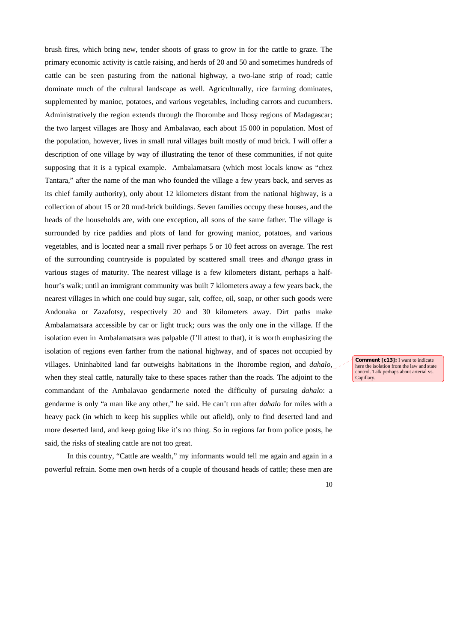brush fires, which bring new, tender shoots of grass to grow in for the cattle to graze. The primary economic activity is cattle raising, and herds of 20 and 50 and sometimes hundreds of cattle can be seen pasturing from the national highway, a two-lane strip of road; cattle dominate much of the cultural landscape as well. Agriculturally, rice farming dominates, supplemented by manioc, potatoes, and various vegetables, including carrots and cucumbers. Administratively the region extends through the Ihorombe and Ihosy regions of Madagascar; the two largest villages are Ihosy and Ambalavao, each about 15 000 in population. Most of the population, however, lives in small rural villages built mostly of mud brick. I will offer a description of one village by way of illustrating the tenor of these communities, if not quite supposing that it is a typical example. Ambalamatsara (which most locals know as "chez Tantara," after the name of the man who founded the village a few years back, and serves as its chief family authority), only about 12 kilometers distant from the national highway, is a collection of about 15 or 20 mud-brick buildings. Seven families occupy these houses, and the heads of the households are, with one exception, all sons of the same father. The village is surrounded by rice paddies and plots of land for growing manioc, potatoes, and various vegetables, and is located near a small river perhaps 5 or 10 feet across on average. The rest of the surrounding countryside is populated by scattered small trees and *dhanga* grass in various stages of maturity. The nearest village is a few kilometers distant, perhaps a halfhour's walk; until an immigrant community was built 7 kilometers away a few years back, the nearest villages in which one could buy sugar, salt, coffee, oil, soap, or other such goods were Andonaka or Zazafotsy, respectively 20 and 30 kilometers away. Dirt paths make Ambalamatsara accessible by car or light truck; ours was the only one in the village. If the isolation even in Ambalamatsara was palpable (I'll attest to that), it is worth emphasizing the isolation of regions even farther from the national highway, and of spaces not occupied by villages. Uninhabited land far outweighs habitations in the Ihorombe region, and *dahalo*, when they steal cattle, naturally take to these spaces rather than the roads. The adjoint to the commandant of the Ambalavao gendarmerie noted the difficulty of pursuing *dahalo*: a gendarme is only "a man like any other," he said. He can't run after *dahalo* for miles with a heavy pack (in which to keep his supplies while out afield), only to find deserted land and more deserted land, and keep going like it's no thing. So in regions far from police posts, he said, the risks of stealing cattle are not too great.

In this country, "Cattle are wealth," my informants would tell me again and again in a powerful refrain. Some men own herds of a couple of thousand heads of cattle; these men are **Comment [c13]:** I want to indicate here the isolation from the law and state control. Talk perhaps about arterial vs. Capillary.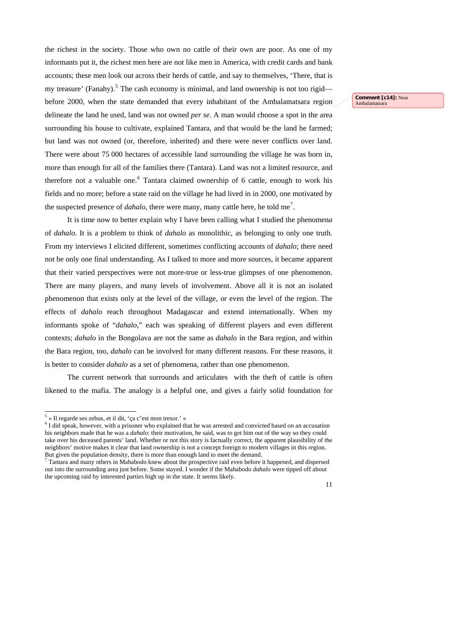the richest in the society. Those who own no cattle of their own are poor. As one of my informants put it, the richest men here are not like men in America, with credit cards and bank accounts; these men look out across their herds of cattle, and say to themselves, 'There, that is my treasure' (Fanahy).<sup>[5](#page-10-0)</sup> The cash economy is minimal, and land ownership is not too rigid before 2000, when the state demanded that every inhabitant of the Ambalamatsara region delineate the land he used, land was not owned *per se*. A man would choose a spot in the area surrounding his house to cultivate, explained Tantara, and that would be the land he farmed; but land was not owned (or, therefore, inherited) and there were never conflicts over land. There were about 75 000 hectares of accessible land surrounding the village he was born in, more than enough for all of the families there (Tantara). Land was not a limited resource, and therefore not a valuable one.<sup>[6](#page-10-1)</sup> Tantara claimed ownership of 6 cattle, enough to work his fields and no more; before a state raid on the village he had lived in in 2000, one motivated by the suspected presence of  $dahalo$ , there were many, many cattle here, he told me<sup>[7](#page-10-2)</sup>.

It is time now to better explain why I have been calling what I studied the phenomen*a* of *dahalo*. It is a problem to think of *dahalo* as monolithic, as belonging to only one truth. From my interviews I elicited different, sometimes conflicting accounts of *dahalo*; there need not be only one final understanding. As I talked to more and more sources, it became apparent that their varied perspectives were not more-true or less-true glimpses of one phenomenon. There are many players, and many levels of involvement. Above all it is not an isolated phenomenon that exists only at the level of the village, or even the level of the region. The effects of *dahalo* reach throughout Madagascar and extend internationally. When my informants spoke of "*dahalo*," each was speaking of different players and even different contexts; *dahalo* in the Bongolava are not the same as *dahalo* in the Bara region, and within the Bara region, too, *dahalo* can be involved for many different reasons. For these reasons, it is better to consider *dahalo* as a set of phenomena, rather than one phenomenon.

The current network that surrounds and articulates with the theft of cattle is often likened to the mafia. The analogy is a helpful one, and gives a fairly solid foundation for

11

**Comment [c14]:** Near Ambalamatsara

 5 « Il regarde ses zebus, et il dit, 'ça c'est mon tresor.' »

<sup>&</sup>lt;sup>6</sup> I did speak, however, with a prisoner who explained that he was arrested and convicted based on an accusation his neighbors made that he was a *dahalo*: their motivation, he said, was to get him out of the way so they could take over his deceased parents' land. Whether or not this story is factually correct, the apparent plausibility of the neighbors' motive makes it clear that land ownership is not a concept foreign to modern villages in this region. But given the population density, there is more than enough land to meet the demand.

<span id="page-10-2"></span><span id="page-10-1"></span><span id="page-10-0"></span><sup>&</sup>lt;sup>7</sup> Tantara and many others in Mahabodo knew about the prospective raid even before it happened, and dispersed out into the surrounding area just before. Some stayed. I wonder if the Mahabodo *dahalo* were tipped off about the upcoming raid by interested parties high up in the state. It seems likely.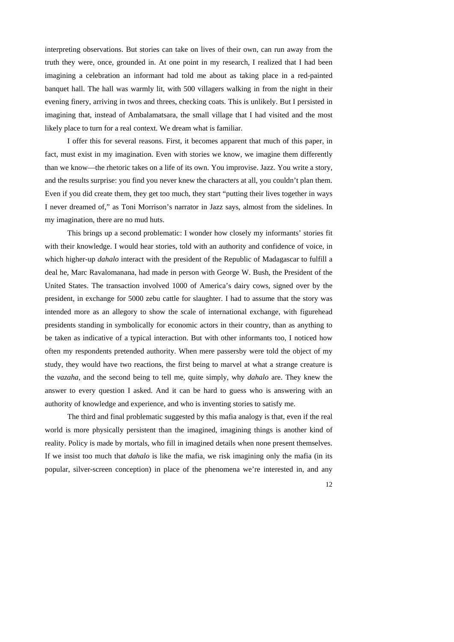interpreting observations. But stories can take on lives of their own, can run away from the truth they were, once, grounded in. At one point in my research, I realized that I had been imagining a celebration an informant had told me about as taking place in a red-painted banquet hall. The hall was warmly lit, with 500 villagers walking in from the night in their evening finery, arriving in twos and threes, checking coats. This is unlikely. But I persisted in imagining that, instead of Ambalamatsara, the small village that I had visited and the most likely place to turn for a real context. We dream what is familiar.

I offer this for several reasons. First, it becomes apparent that much of this paper, in fact, must exist in my imagination. Even with stories we know, we imagine them differently than we know—the rhetoric takes on a life of its own. You improvise. Jazz. You write a story, and the results surprise: you find you never knew the characters at all, you couldn't plan them. Even if you did create them, they get too much, they start "putting their lives together in ways I never dreamed of," as Toni Morrison's narrator in Jazz says, almost from the sidelines. In my imagination, there are no mud huts.

This brings up a second problematic: I wonder how closely my informants' stories fit with their knowledge. I would hear stories, told with an authority and confidence of voice, in which higher-up *dahalo* interact with the president of the Republic of Madagascar to fulfill a deal he, Marc Ravalomanana, had made in person with George W. Bush, the President of the United States. The transaction involved 1000 of America's dairy cows, signed over by the president, in exchange for 5000 zebu cattle for slaughter. I had to assume that the story was intended more as an allegory to show the scale of international exchange, with figurehead presidents standing in symbolically for economic actors in their country, than as anything to be taken as indicative of a typical interaction. But with other informants too, I noticed how often my respondents pretended authority. When mere passersby were told the object of my study, they would have two reactions, the first being to marvel at what a strange creature is the *vazaha*, and the second being to tell me, quite simply, why *dahalo* are. They knew the answer to every question I asked. And it can be hard to guess who is answering with an authority of knowledge and experience, and who is inventing stories to satisfy me.

The third and final problematic suggested by this mafia analogy is that, even if the real world is more physically persistent than the imagined, imagining things is another kind of reality. Policy is made by mortals, who fill in imagined details when none present themselves. If we insist too much that *dahalo* is like the mafia, we risk imagining only the mafia (in its popular, silver-screen conception) in place of the phenomena we're interested in, and any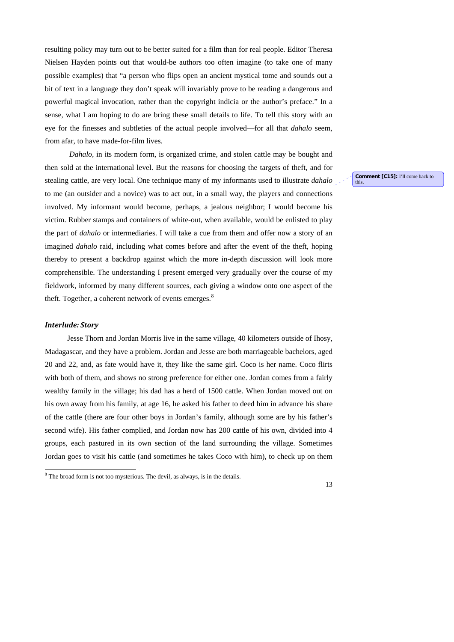resulting policy may turn out to be better suited for a film than for real people. Editor Theresa Nielsen Hayden points out that would-be authors too often imagine (to take one of many possible examples) that "a person who flips open an ancient mystical tome and sounds out a bit of text in a language they don't speak will invariably prove to be reading a dangerous and powerful magical invocation, rather than the copyright indicia or the author's preface." In a sense, what I am hoping to do are bring these small details to life. To tell this story with an eye for the finesses and subtleties of the actual people involved—for all that *dahalo* seem, from afar, to have made-for-film lives.

*Dahalo*, in its modern form, is organized crime, and stolen cattle may be bought and then sold at the international level. But the reasons for choosing the targets of theft, and for stealing cattle, are very local. One technique many of my informants used to illustrate *dahalo* to me (an outsider and a novice) was to act out, in a small way, the players and connections involved. My informant would become, perhaps, a jealous neighbor; I would become his victim. Rubber stamps and containers of white-out, when available, would be enlisted to play the part of *dahalo* or intermediaries. I will take a cue from them and offer now a story of an imagined *dahalo* raid, including what comes before and after the event of the theft, hoping thereby to present a backdrop against which the more in-depth discussion will look more comprehensible. The understanding I present emerged very gradually over the course of my fieldwork, informed by many different sources, each giving a window onto one aspect of the theft. Together, a coherent network of events emerges.<sup>[8](#page-12-0)</sup>

#### *Interlude: Story*

-

 Jesse Thorn and Jordan Morris live in the same village, 40 kilometers outside of Ihosy, Madagascar, and they have a problem. Jordan and Jesse are both marriageable bachelors, aged 20 and 22, and, as fate would have it, they like the same girl. Coco is her name. Coco flirts with both of them, and shows no strong preference for either one. Jordan comes from a fairly wealthy family in the village; his dad has a herd of 1500 cattle. When Jordan moved out on his own away from his family, at age 16, he asked his father to deed him in advance his share of the cattle (there are four other boys in Jordan's family, although some are by his father's second wife). His father complied, and Jordan now has 200 cattle of his own, divided into 4 groups, each pastured in its own section of the land surrounding the village. Sometimes Jordan goes to visit his cattle (and sometimes he takes Coco with him), to check up on them

**Comment [C15]:** I'll come back to this.

<span id="page-12-0"></span><sup>&</sup>lt;sup>8</sup> The broad form is not too mysterious. The devil, as always, is in the details.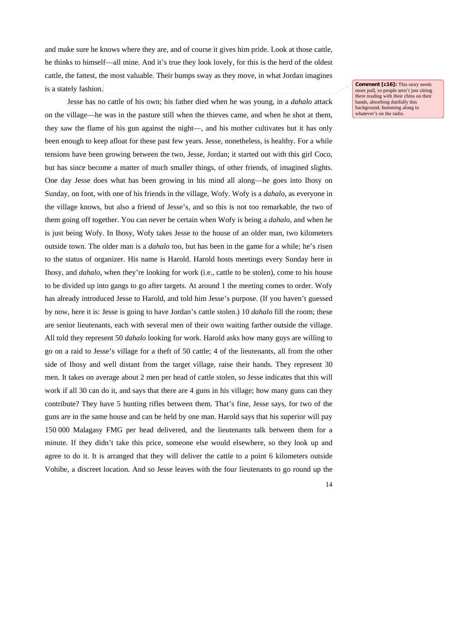and make sure he knows where they are, and of course it gives him pride. Look at those cattle, he thinks to himself—all mine. And it's true they look lovely, for this is the herd of the oldest cattle, the fattest, the most valuable. Their humps sway as they move, in what Jordan imagines is a stately fashion.

 Jesse has no cattle of his own; his father died when he was young, in a *dahalo* attack on the village—he was in the pasture still when the thieves came, and when he shot at them, they saw the flame of his gun against the night—, and his mother cultivates but it has only been enough to keep afloat for these past few years. Jesse, nonetheless, is healthy. For a while tensions have been growing between the two, Jesse, Jordan; it started out with this girl Coco, but has since become a matter of much smaller things, of other friends, of imagined slights. One day Jesse does what has been growing in his mind all along—he goes into Ihosy on Sunday, on foot, with one of his friends in the village, Wofy. Wofy is a *dahalo*, as everyone in the village knows, but also a friend of Jesse's, and so this is not too remarkable, the two of them going off together. You can never be certain when Wofy is being a *dahalo*, and when he is just being Wofy. In Ihosy, Wofy takes Jesse to the house of an older man, two kilometers outside town. The older man is a *dahalo* too, but has been in the game for a while; he's risen to the status of organizer. His name is Harold. Harold hosts meetings every Sunday here in Ihosy, and *dahalo*, when they're looking for work (i.e., cattle to be stolen), come to his house to be divided up into gangs to go after targets. At around 1 the meeting comes to order. Wofy has already introduced Jesse to Harold, and told him Jesse's purpose. (If you haven't guessed by now, here it is: Jesse is going to have Jordan's cattle stolen.) 10 *dahalo* fill the room; these are senior lieutenants, each with several men of their own waiting farther outside the village. All told they represent 50 *dahalo* looking for work. Harold asks how many guys are willing to go on a raid to Jesse's village for a theft of 50 cattle; 4 of the lieutenants, all from the other side of Ihosy and well distant from the target village, raise their hands. They represent 30 men. It takes on average about 2 men per head of cattle stolen, so Jesse indicates that this will work if all 30 can do it, and says that there are 4 guns in his village; how many guns can they contribute? They have 5 hunting rifles between them. That's fine, Jesse says, for two of the guns are in the same house and can be held by one man. Harold says that his superior will pay 150 000 Malagasy FMG per head delivered, and the lieutenants talk between them for a minute. If they didn't take this price, someone else would elsewhere, so they look up and agree to do it. It is arranged that they will deliver the cattle to a point 6 kilometers outside Vohibe, a discreet location. And so Jesse leaves with the four lieutenants to go round up the **Comment [c16]:** This story needs more pull, so people aren't just sitting there reading with their chins on their hands, absorbing dutifully this background, humming along to whatever's on the radio.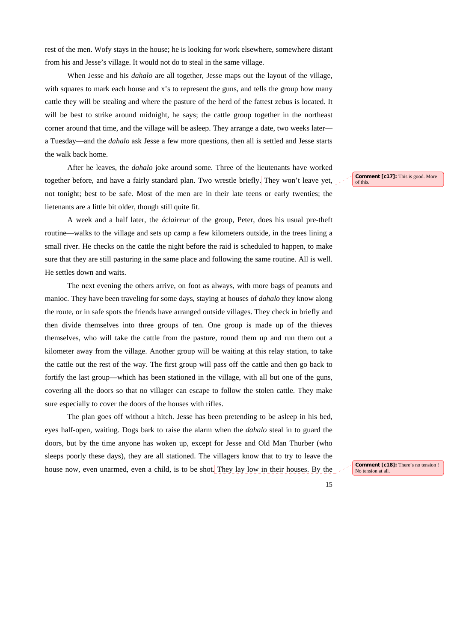rest of the men. Wofy stays in the house; he is looking for work elsewhere, somewhere distant from his and Jesse's village. It would not do to steal in the same village.

When Jesse and his *dahalo* are all together, Jesse maps out the layout of the village, with squares to mark each house and x's to represent the guns, and tells the group how many cattle they will be stealing and where the pasture of the herd of the fattest zebus is located. It will be best to strike around midnight, he says; the cattle group together in the northeast corner around that time, and the village will be asleep. They arrange a date, two weeks later a Tuesday—and the *dahalo* ask Jesse a few more questions, then all is settled and Jesse starts the walk back home.

After he leaves, the *dahalo* joke around some. Three of the lieutenants have worked together before, and have a fairly standard plan. Two wrestle briefly. They won't leave yet, not tonight; best to be safe. Most of the men are in their late teens or early twenties; the lietenants are a little bit older, though still quite fit.

A week and a half later, the *éclaireur* of the group, Peter, does his usual pre-theft routine—walks to the village and sets up camp a few kilometers outside, in the trees lining a small river. He checks on the cattle the night before the raid is scheduled to happen, to make sure that they are still pasturing in the same place and following the same routine. All is well. He settles down and waits.

The next evening the others arrive, on foot as always, with more bags of peanuts and manioc. They have been traveling for some days, staying at houses of *dahalo* they know along the route, or in safe spots the friends have arranged outside villages. They check in briefly and then divide themselves into three groups of ten. One group is made up of the thieves themselves, who will take the cattle from the pasture, round them up and run them out a kilometer away from the village. Another group will be waiting at this relay station, to take the cattle out the rest of the way. The first group will pass off the cattle and then go back to fortify the last group—which has been stationed in the village, with all but one of the guns, covering all the doors so that no villager can escape to follow the stolen cattle. They make sure especially to cover the doors of the houses with rifles.

The plan goes off without a hitch. Jesse has been pretending to be asleep in his bed, eyes half-open, waiting. Dogs bark to raise the alarm when the *dahalo* steal in to guard the doors, but by the time anyone has woken up, except for Jesse and Old Man Thurber (who sleeps poorly these days), they are all stationed. The villagers know that to try to leave the house now, even unarmed, even a child, is to be shot. They lay low in their houses. By the **Comment [c17]:** This is good. More of this.

**Comment [c18]:** There's no tension ! No tension at all

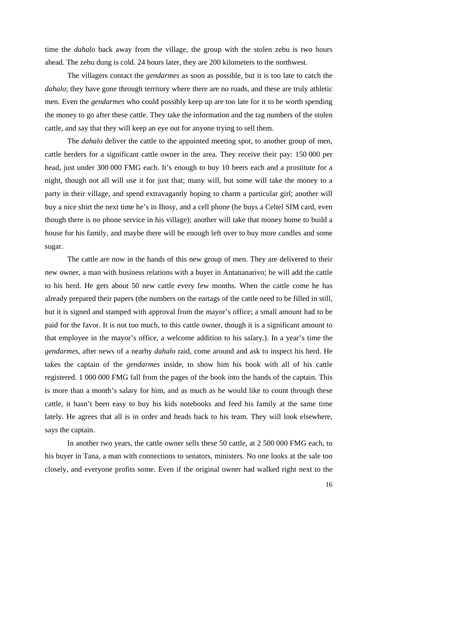time the *dahalo* back away from the village, the group with the stolen zebu is two hours ahead. The zebu dung is cold. 24 hours later, they are 200 kilometers to the northwest.

The villagers contact the *gendarmes* as soon as possible, but it is too late to catch the *dahalo*; they have gone through territory where there are no roads, and these are truly athletic men. Even the *gendarmes* who could possibly keep up are too late for it to be worth spending the money to go after these cattle. They take the information and the tag numbers of the stolen cattle, and say that they will keep an eye out for anyone trying to sell them.

The *dahalo* deliver the cattle to the appointed meeting spot, to another group of men, cattle herders for a significant cattle owner in the area. They receive their pay: 150 000 per head, just under 300 000 FMG each. It's enough to buy 10 beers each and a prostitute for a night, though not all will use it for just that; many will, but some will take the money to a party in their village, and spend extravagantly hoping to charm a particular girl; another will buy a nice shirt the next time he's in Ihosy, and a cell phone (he buys a Celtel SIM card, even though there is no phone service in his village); another will take that money home to build a house for his family, and maybe there will be enough left over to buy more candles and some sugar.

The cattle are now in the hands of this new group of men. They are delivered to their new owner, a man with business relations with a buyer in Antananarivo; he will add the cattle to his herd. He gets about 50 new cattle every few months. When the cattle come he has already prepared their papers (the numbers on the eartags of the cattle need to be filled in still, but it is signed and stamped with approval from the mayor's office; a small amount had to be paid for the favor. It is not too much, to this cattle owner, though it is a significant amount to that employee in the mayor's office, a welcome addition to his salary.). In a year's time the *gendarmes*, after news of a nearby *dahalo* raid, come around and ask to inspect his herd. He takes the captain of the *gendarmes* inside, to show him his book with all of his cattle registered. 1 000 000 FMG fall from the pages of the book into the hands of the captain. This is more than a month's salary for him, and as much as he would like to count through these cattle, it hasn't been easy to buy his kids notebooks and feed his family at the same time lately. He agrees that all is in order and heads back to his team. They will look elsewhere, says the captain.

In another two years, the cattle owner sells these 50 cattle, at 2 500 000 FMG each, to his buyer in Tana, a man with connections to senators, ministers. No one looks at the sale too closely, and everyone profits some. Even if the original owner had walked right next to the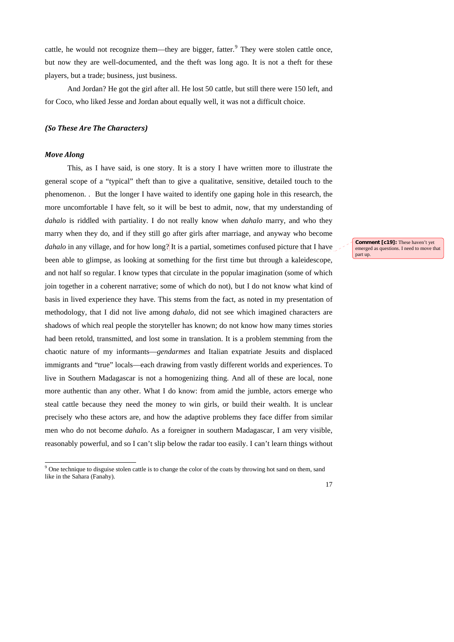cattle, he would not recognize them—they are bigger, fatter.<sup>[9](#page-16-0)</sup> They were stolen cattle once, but now they are well-documented, and the theft was long ago. It is not a theft for these players, but a trade; business, just business.

And Jordan? He got the girl after all. He lost 50 cattle, but still there were 150 left, and for Coco, who liked Jesse and Jordan about equally well, it was not a difficult choice.

# *(So These Are The Characters)*

## *Move Along*

-

This, as I have said, is one story. It is a story I have written more to illustrate the general scope of a "typical" theft than to give a qualitative, sensitive, detailed touch to the phenomenon. . But the longer I have waited to identify one gaping hole in this research, the more uncomfortable I have felt, so it will be best to admit, now, that my understanding of *dahalo* is riddled with partiality. I do not really know when *dahalo* marry, and who they marry when they do, and if they still go after girls after marriage, and anyway who become *dahalo* in any village, and for how long? It is a partial, sometimes confused picture that I have been able to glimpse, as looking at something for the first time but through a kaleidescope, and not half so regular. I know types that circulate in the popular imagination (some of which join together in a coherent narrative; some of which do not), but I do not know what kind of basis in lived experience they have. This stems from the fact, as noted in my presentation of methodology, that I did not live among *dahalo*, did not see which imagined characters are shadows of which real people the storyteller has known; do not know how many times stories had been retold, transmitted, and lost some in translation. It is a problem stemming from the chaotic nature of my informants—*gendarmes* and Italian expatriate Jesuits and displaced immigrants and "true" locals—each drawing from vastly different worlds and experiences. To live in Southern Madagascar is not a homogenizing thing. And all of these are local, none more authentic than any other. What I do know: from amid the jumble, actors emerge who steal cattle because they need the money to win girls, or build their wealth. It is unclear precisely who these actors are, and how the adaptive problems they face differ from similar men who do not become *dahalo*. As a foreigner in southern Madagascar, I am very visible, reasonably powerful, and so I can't slip below the radar too easily. I can't learn things without

emerged as questions. I need to move that part up.

**Comment [c19]:** These haven't yet

<span id="page-16-0"></span><sup>&</sup>lt;sup>9</sup> One technique to disguise stolen cattle is to change the color of the coats by throwing hot sand on them, sand like in the Sahara (Fanahy).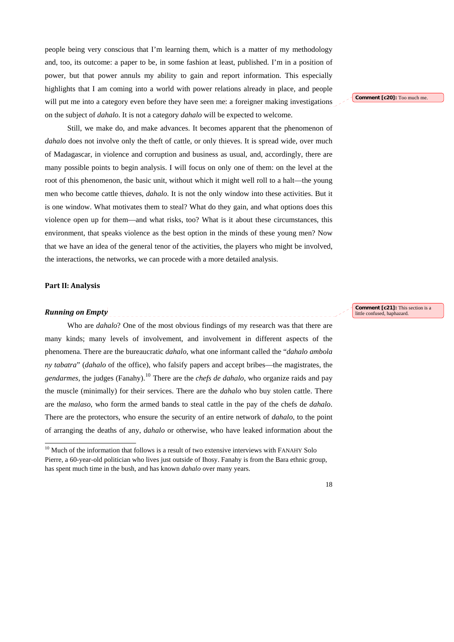people being very conscious that I'm learning them, which is a matter of my methodology and, too, its outcome: a paper to be, in some fashion at least, published. I'm in a position of power, but that power annuls my ability to gain and report information. This especially highlights that I am coming into a world with power relations already in place, and people will put me into a category even before they have seen me: a foreigner making investigations on the subject of *dahalo*. It is not a category *dahalo* will be expected to welcome.

Still, we make do, and make advances. It becomes apparent that the phenomenon of *dahalo* does not involve only the theft of cattle, or only thieves. It is spread wide, over much of Madagascar, in violence and corruption and business as usual, and, accordingly, there are many possible points to begin analysis. I will focus on only one of them: on the level at the root of this phenomenon, the basic unit, without which it might well roll to a halt—the young men who become cattle thieves, *dahalo*. It is not the only window into these activities. But it is one window. What motivates them to steal? What do they gain, and what options does this violence open up for them—and what risks, too? What is it about these circumstances, this environment, that speaks violence as the best option in the minds of these young men? Now that we have an idea of the general tenor of the activities, the players who might be involved, the interactions, the networks, we can procede with a more detailed analysis.

## **Part II: Analysis**

-

#### *Running on Empty*

Who are *dahalo*? One of the most obvious findings of my research was that there are many kinds; many levels of involvement, and involvement in different aspects of the phenomena. There are the bureaucratic *dahalo*, what one informant called the "*dahalo ambola ny tabatra*" (*dahalo* of the office), who falsify papers and accept bribes—the magistrates, the *gendarmes*, the judges (Fanahy).[10](#page-17-0) There are the *chefs de dahalo*, who organize raids and pay the muscle (minimally) for their services. There are the *dahalo* who buy stolen cattle. There are the *malaso*, who form the armed bands to steal cattle in the pay of the chefs de *dahalo*. There are the protectors, who ensure the security of an entire network of *dahalo*, to the point of arranging the deaths of any, *dahalo* or otherwise, who have leaked information about the

**Comment [c20]:** Too much me.

**Comment [c21]:** This section is a little confused, haphazard.

<span id="page-17-0"></span> $10$  Much of the information that follows is a result of two extensive interviews with FANAHY Solo Pierre, a 60-year-old politician who lives just outside of Ihosy. Fanahy is from the Bara ethnic group, has spent much time in the bush, and has known *dahalo* over many years.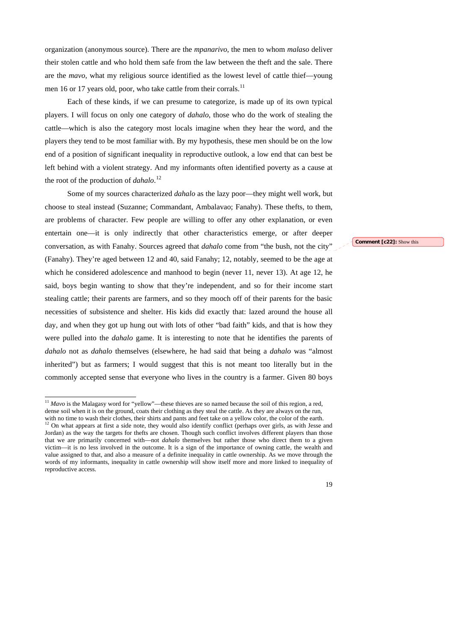organization (anonymous source). There are the *mpanarivo*, the men to whom *malaso* deliver their stolen cattle and who hold them safe from the law between the theft and the sale. There are the *mavo*, what my religious source identified as the lowest level of cattle thief—young men 16 or 17 years old, poor, who take cattle from their corrals.<sup>[11](#page-18-0)</sup>

Each of these kinds, if we can presume to categorize, is made up of its own typical players. I will focus on only one category of *dahalo*, those who do the work of stealing the cattle—which is also the category most locals imagine when they hear the word, and the players they tend to be most familiar with. By my hypothesis, these men should be on the low end of a position of significant inequality in reproductive outlook, a low end that can best be left behind with a violent strategy. And my informants often identified poverty as a cause at the root of the production of *dahalo*. [12](#page-18-1) 

Some of my sources characterized *dahalo* as the lazy poor—they might well work, but choose to steal instead (Suzanne; Commandant, Ambalavao; Fanahy). These thefts, to them, are problems of character. Few people are willing to offer any other explanation, or even entertain one—it is only indirectly that other characteristics emerge, or after deeper conversation, as with Fanahy. Sources agreed that *dahalo* come from "the bush, not the city" (Fanahy). They're aged between 12 and 40, said Fanahy; 12, notably, seemed to be the age at which he considered adolescence and manhood to begin (never 11, never 13). At age 12, he said, boys begin wanting to show that they're independent, and so for their income start stealing cattle; their parents are farmers, and so they mooch off of their parents for the basic necessities of subsistence and shelter. His kids did exactly that: lazed around the house all day, and when they got up hung out with lots of other "bad faith" kids, and that is how they were pulled into the *dahalo* game. It is interesting to note that he identifies the parents of *dahalo* not as *dahalo* themselves (elsewhere, he had said that being a *dahalo* was "almost inherited") but as farmers; I would suggest that this is not meant too literally but in the commonly accepted sense that everyone who lives in the country is a farmer. Given 80 boys

-

#### **Comment [c22]:** Show this

 $11$  *Mavo* is the Malagasy word for "yellow"—these thieves are so named because the soil of this region, a red, dense soil when it is on the ground, coats their clothing as they steal the cattle. As they are always on the run, with no time to wash their clothes, their shirts and pants and feet take on a yellow color, the color of the earth.

<span id="page-18-1"></span><span id="page-18-0"></span> $12$  On what appears at first a side note, they would also identify conflict (perhaps over girls, as with Jesse and Jordan) as the way the targets for thefts are chosen. Though such conflict involves different players than those that we are primarily concerned with—not *dahalo* themselves but rather those who direct them to a given victim—it is no less involved in the outcome. It is a sign of the importance of owning cattle, the wealth and value assigned to that, and also a measure of a definite inequality in cattle ownership. As we move through the words of my informants, inequality in cattle ownership will show itself more and more linked to inequality of reproductive access.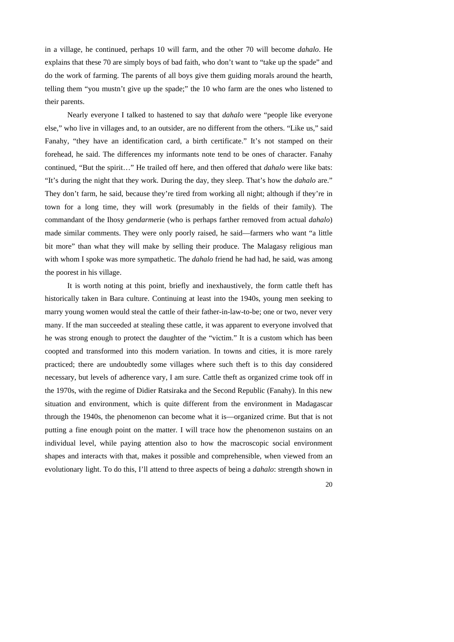in a village, he continued, perhaps 10 will farm, and the other 70 will become *dahalo*. He explains that these 70 are simply boys of bad faith, who don't want to "take up the spade" and do the work of farming. The parents of all boys give them guiding morals around the hearth, telling them "you mustn't give up the spade;" the 10 who farm are the ones who listened to their parents.

Nearly everyone I talked to hastened to say that *dahalo* were "people like everyone else," who live in villages and, to an outsider, are no different from the others. "Like us," said Fanahy, "they have an identification card, a birth certificate." It's not stamped on their forehead, he said. The differences my informants note tend to be ones of character. Fanahy continued, "But the spirit…" He trailed off here, and then offered that *dahalo* were like bats: "It's during the night that they work. During the day, they sleep. That's how the *dahalo* are." They don't farm, he said, because they're tired from working all night; although if they're in town for a long time, they will work (presumably in the fields of their family). The commandant of the Ihosy *gendarme*rie (who is perhaps farther removed from actual *dahalo*) made similar comments. They were only poorly raised, he said—farmers who want "a little bit more" than what they will make by selling their produce. The Malagasy religious man with whom I spoke was more sympathetic. The *dahalo* friend he had had, he said, was among the poorest in his village.

It is worth noting at this point, briefly and inexhaustively, the form cattle theft has historically taken in Bara culture. Continuing at least into the 1940s, young men seeking to marry young women would steal the cattle of their father-in-law-to-be; one or two, never very many. If the man succeeded at stealing these cattle, it was apparent to everyone involved that he was strong enough to protect the daughter of the "victim." It is a custom which has been coopted and transformed into this modern variation. In towns and cities, it is more rarely practiced; there are undoubtedly some villages where such theft is to this day considered necessary, but levels of adherence vary, I am sure. Cattle theft as organized crime took off in the 1970s, with the regime of Didier Ratsiraka and the Second Republic (Fanahy). In this new situation and environment, which is quite different from the environment in Madagascar through the 1940s, the phenomenon can become what it is—organized crime. But that is not putting a fine enough point on the matter. I will trace how the phenomenon sustains on an individual level, while paying attention also to how the macroscopic social environment shapes and interacts with that, makes it possible and comprehensible, when viewed from an evolutionary light. To do this, I'll attend to three aspects of being a *dahalo*: strength shown in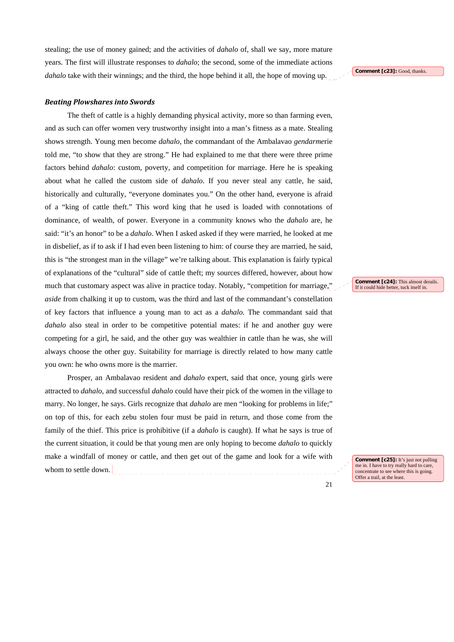stealing; the use of money gained; and the activities of *dahalo* of, shall we say, more mature years. The first will illustrate responses to *dahalo*; the second, some of the immediate actions *dahalo* take with their winnings; and the third, the hope behind it all, the hope of moving up.

#### *Beating Plowshares into Swords*

The theft of cattle is a highly demanding physical activity, more so than farming even, and as such can offer women very trustworthy insight into a man's fitness as a mate. Stealing shows strength. Young men become *dahalo*, the commandant of the Ambalavao *gendarme*rie told me, "to show that they are strong." He had explained to me that there were three prime factors behind *dahalo*: custom, poverty, and competition for marriage. Here he is speaking about what he called the custom side of *dahalo*. If you never steal any cattle, he said, historically and culturally, "everyone dominates you." On the other hand, everyone is afraid of a "king of cattle theft." This word king that he used is loaded with connotations of dominance, of wealth, of power. Everyone in a community knows who the *dahalo* are, he said: "it's an honor" to be a *dahalo*. When I asked asked if they were married, he looked at me in disbelief, as if to ask if I had even been listening to him: of course they are married, he said, this is "the strongest man in the village" we're talking about. This explanation is fairly typical of explanations of the "cultural" side of cattle theft; my sources differed, however, about how much that customary aspect was alive in practice today. Notably, "competition for marriage," *aside* from chalking it up to custom, was the third and last of the commandant's constellation of key factors that influence a young man to act as a *dahalo.* The commandant said that *dahalo* also steal in order to be competitive potential mates: if he and another guy were competing for a girl, he said, and the other guy was wealthier in cattle than he was, she will always choose the other guy. Suitability for marriage is directly related to how many cattle you own: he who owns more is the marrier.

Prosper, an Ambalavao resident and *dahalo* expert, said that once, young girls were attracted to *dahalo*, and successful *dahalo* could have their pick of the women in the village to marry. No longer, he says. Girls recognize that *dahalo* are men "looking for problems in life;" on top of this, for each zebu stolen four must be paid in return, and those come from the family of the thief. This price is prohibitive (if a *dahalo* is caught). If what he says is true of the current situation, it could be that young men are only hoping to become *dahalo* to quickly make a windfall of money or cattle, and then get out of the game and look for a wife with whom to settle down.

**Comment [c23]:** Good, thanks

**Comment [c24]:** This almost derails. If it could hide better, tuck itself in.

**Comment [c25]:** It's just not pulling me in. I have to try really hard to care, concentrate to see where this is going. Offer a trail, at the least.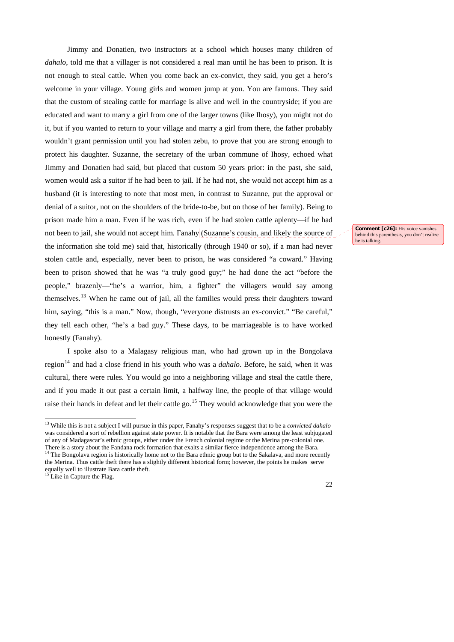Jimmy and Donatien, two instructors at a school which houses many children of *dahalo*, told me that a villager is not considered a real man until he has been to prison. It is not enough to steal cattle. When you come back an ex-convict, they said, you get a hero's welcome in your village. Young girls and women jump at you. You are famous. They said that the custom of stealing cattle for marriage is alive and well in the countryside; if you are educated and want to marry a girl from one of the larger towns (like Ihosy), you might not do it, but if you wanted to return to your village and marry a girl from there, the father probably wouldn't grant permission until you had stolen zebu, to prove that you are strong enough to protect his daughter. Suzanne, the secretary of the urban commune of Ihosy, echoed what Jimmy and Donatien had said, but placed that custom 50 years prior: in the past, she said, women would ask a suitor if he had been to jail. If he had not, she would not accept him as a husband (it is interesting to note that most men, in contrast to Suzanne, put the approval or denial of a suitor, not on the shoulders of the bride-to-be, but on those of her family). Being to prison made him a man. Even if he was rich, even if he had stolen cattle aplenty—if he had not been to jail, she would not accept him. Fanahy (Suzanne's cousin, and likely the source of the information she told me) said that, historically (through 1940 or so), if a man had never stolen cattle and, especially, never been to prison, he was considered "a coward." Having been to prison showed that he was "a truly good guy;" he had done the act "before the people," brazenly—"he's a warrior, him, a fighter" the villagers would say among themselves.<sup>[13](#page-21-0)</sup> When he came out of jail, all the families would press their daughters toward him, saying, "this is a man." Now, though, "everyone distrusts an ex-convict." "Be careful," they tell each other, "he's a bad guy." These days, to be marriageable is to have worked honestly (Fanahy).

I spoke also to a Malagasy religious man, who had grown up in the Bongolava region<sup>14</sup> and had a close friend in his youth who was a *dahalo*. Before, he said, when it was cultural, there were rules. You would go into a neighboring village and steal the cattle there, and if you made it out past a certain limit, a halfway line, the people of that village would raise their hands in defeat and let their cattle go.<sup>[15](#page-21-2)</sup> They would acknowledge that you were the

-

<span id="page-21-2"></span><span id="page-21-1"></span><span id="page-21-0"></span><sup>14</sup> The Bongolava region is historically home not to the Bara ethnic group but to the Sakalava, and more recently the Merina. Thus cattle theft there has a slightly different historical form; however, the points he makes serve equally well to illustrate Bara cattle theft. Like in Capture the Flag.

22

**Comment [c26]:** His voice vanishes behind this parenthesis, you don't realize he is talking.

<sup>13</sup> While this is not a subject I will pursue in this paper, Fanahy's responses suggest that to be a *convicted dahalo* was considered a sort of rebellion against state power. It is notable that the Bara were among the least subjugated of any of Madagascar's ethnic groups, either under the French colonial regime or the Merina pre-colonial one. There is a story about the Fandana rock formation that exalts a similar fierce independence among the Bara.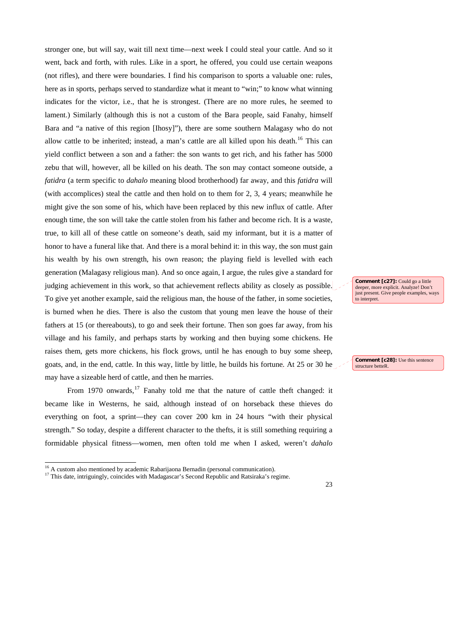stronger one, but will say, wait till next time—next week I could steal your cattle. And so it went, back and forth, with rules. Like in a sport, he offered, you could use certain weapons (not rifles), and there were boundaries. I find his comparison to sports a valuable one: rules, here as in sports, perhaps served to standardize what it meant to "win;" to know what winning indicates for the victor, i.e., that he is strongest. (There are no more rules, he seemed to lament.) Similarly (although this is not a custom of the Bara people, said Fanahy, himself Bara and "a native of this region [Ihosy]"), there are some southern Malagasy who do not allow cattle to be inherited; instead, a man's cattle are all killed upon his death.<sup>[16](#page-22-0)</sup> This can yield conflict between a son and a father: the son wants to get rich, and his father has 5000 zebu that will, however, all be killed on his death. The son may contact someone outside, a *fatidra* (a term specific to *dahalo* meaning blood brotherhood) far away, and this *fatidra* will (with accomplices) steal the cattle and then hold on to them for 2, 3, 4 years; meanwhile he might give the son some of his, which have been replaced by this new influx of cattle. After enough time, the son will take the cattle stolen from his father and become rich. It is a waste, true, to kill all of these cattle on someone's death, said my informant, but it is a matter of honor to have a funeral like that. And there is a moral behind it: in this way, the son must gain his wealth by his own strength, his own reason; the playing field is levelled with each generation (Malagasy religious man). And so once again, I argue, the rules give a standard for judging achievement in this work, so that achievement reflects ability as closely as possible. To give yet another example, said the religious man, the house of the father, in some societies, is burned when he dies. There is also the custom that young men leave the house of their fathers at 15 (or thereabouts), to go and seek their fortune. Then son goes far away, from his village and his family, and perhaps starts by working and then buying some chickens. He raises them, gets more chickens, his flock grows, until he has enough to buy some sheep, goats, and, in the end, cattle. In this way, little by little, he builds his fortune. At 25 or 30 he may have a sizeable herd of cattle, and then he marries.

From 1970 onwards,  $17$  Fanahy told me that the nature of cattle theft changed: it became like in Westerns, he said, although instead of on horseback these thieves do everything on foot, a sprint—they can cover 200 km in 24 hours "with their physical strength." So today, despite a different character to the thefts, it is still something requiring a formidable physical fitness—women, men often told me when I asked, weren't *dahalo*

-

**Comment [c27]:** Could go a little deeper, more explicit. Analyze! Don't just present. Give people examples, ways to interpret.

**Comment [c28]:** Use this sentence structure betteR.

<sup>&</sup>lt;sup>16</sup> A custom also mentioned by academic Rabarijaona Bernadin (personal communication).

<span id="page-22-1"></span><span id="page-22-0"></span><sup>&</sup>lt;sup>17</sup> This date, intriguingly, coincides with Madagascar's Second Republic and Ratsiraka's regime.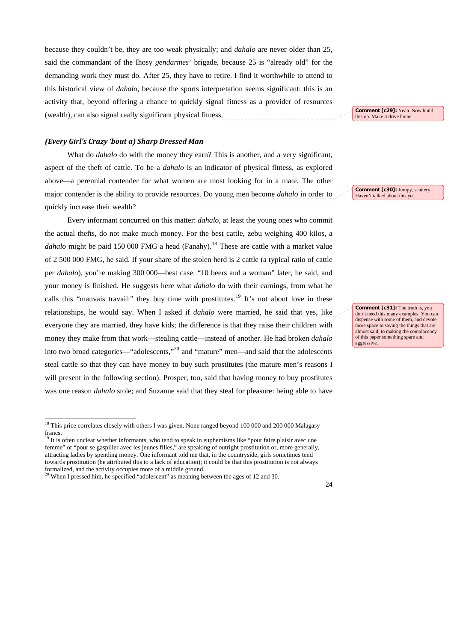because they couldn't be, they are too weak physically; and *dahalo* are never older than 25, said the commandant of the Ihosy *gendarmes*' brigade, because 25 is "already old" for the demanding work they must do. After 25, they have to retire. I find it worthwhile to attend to this historical view of *dahalo*, because the sports interpretation seems significant: this is an activity that, beyond offering a chance to quickly signal fitness as a provider of resources (wealth), can also signal really significant physical fitness.

## *(Every Girl's Crazy 'bout a) Sharp Dressed Man*

What do *dahalo* do with the money they earn? This is another, and a very significant, aspect of the theft of cattle. To be a *dahalo* is an indicator of physical fitness, as explored above—a perennial contender for what women are most looking for in a mate. The other major contender is the ability to provide resources. Do young men become *dahalo* in order to quickly increase their wealth?

Every informant concurred on this matter: *dahalo*, at least the young ones who commit the actual thefts, do not make much money. For the best cattle, zebu weighing 400 kilos, a *dahalo* might be paid 150 000 FMG a head (Fanahy).<sup>[18](#page-23-0)</sup> These are cattle with a market value of 2 500 000 FMG, he said. If your share of the stolen herd is 2 cattle (a typical ratio of cattle per *dahalo*), you're making 300 000—best case. "10 beers and a woman" later, he said, and your money is finished. He suggests here what *dahalo* do with their earnings, from what he calls this "mauvais travail:" they buy time with prostitutes.<sup>[19](#page-23-1)</sup> It's not about love in these relationships, he would say. When I asked if *dahalo* were married, he said that yes, like everyone they are married, they have kids; the difference is that they raise their children with money they make from that work—stealing cattle—instead of another. He had broken *dahalo* into two broad categories—"adolescents,"[20](#page-23-2) and "mature" men—and said that the adolescents steal cattle so that they can have money to buy such prostitutes (the mature men's reasons I will present in the following section). Prosper, too, said that having money to buy prostitutes was one reason *dahalo* stole; and Suzanne said that they steal for pleasure: being able to have

-

**Comment [c29]:** Yeah. Now build this up. Make it drive home.

**Comment [c30]:** Jumpy, scattery. Haven't talked about this yet.

**Comment [c31]:** The truth is, you don't need this many examples. You can dispense with some of them, and devote more space to saying the things that are almost said, to making the complacency of this paper something spare and aggressive.

<sup>&</sup>lt;sup>18</sup> This price correlates closely with others I was given. None ranged beyond 100 000 and 200 000 Malagasy francs.

<sup>&</sup>lt;sup>19</sup> It is often unclear whether informants, who tend to speak in euphemisms like "pour faire plaisir avec une femme" or "pour se gaspiller avec les jeunes filles," are speaking of outright prostitution or, more generally, attracting ladies by spending money. One informant told me that, in the countryside, girls sometimes tend towards prostitution (he attributed this to a lack of education); it could be that this prostitution is not always formalized, and the activity occupies more of a middle ground.

<span id="page-23-2"></span><span id="page-23-1"></span><span id="page-23-0"></span><sup>20</sup> When I pressed him, he specified "adolescent" as meaning between the ages of 12 and 30.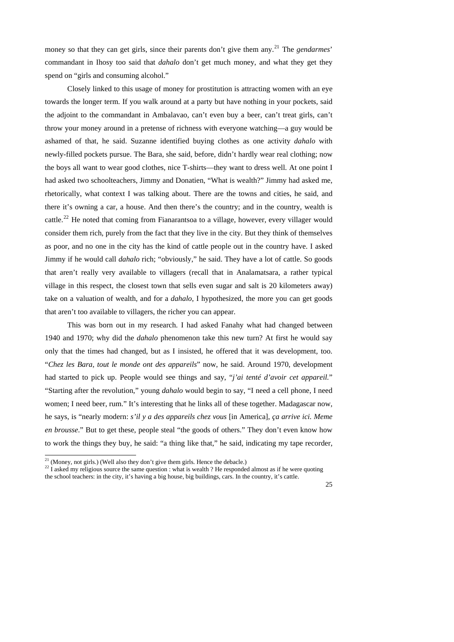money so that they can get girls, since their parents don't give them any.[21](#page-24-0) The *gendarmes*' commandant in Ihosy too said that *dahalo* don't get much money, and what they get they spend on "girls and consuming alcohol."

Closely linked to this usage of money for prostitution is attracting women with an eye towards the longer term. If you walk around at a party but have nothing in your pockets, said the adjoint to the commandant in Ambalavao, can't even buy a beer, can't treat girls, can't throw your money around in a pretense of richness with everyone watching—a guy would be ashamed of that, he said. Suzanne identified buying clothes as one activity *dahalo* with newly-filled pockets pursue. The Bara, she said, before, didn't hardly wear real clothing; now the boys all want to wear good clothes, nice T-shirts—they want to dress well. At one point I had asked two schoolteachers, Jimmy and Donatien, "What is wealth?" Jimmy had asked me, rhetorically, what context I was talking about. There are the towns and cities, he said, and there it's owning a car, a house. And then there's the country; and in the country, wealth is cattle.<sup>[22](#page-24-1)</sup> He noted that coming from Fianarantsoa to a village, however, every villager would consider them rich, purely from the fact that they live in the city. But they think of themselves as poor, and no one in the city has the kind of cattle people out in the country have. I asked Jimmy if he would call *dahalo* rich; "obviously," he said. They have a lot of cattle. So goods that aren't really very available to villagers (recall that in Analamatsara, a rather typical village in this respect, the closest town that sells even sugar and salt is 20 kilometers away) take on a valuation of wealth, and for a *dahalo*, I hypothesized, the more you can get goods that aren't too available to villagers, the richer you can appear.

This was born out in my research. I had asked Fanahy what had changed between 1940 and 1970; why did the *dahalo* phenomenon take this new turn? At first he would say only that the times had changed, but as I insisted, he offered that it was development, too. "*Chez les Bara, tout le monde ont des appareils*" now, he said. Around 1970, development had started to pick up. People would see things and say, "*j'ai tenté d'avoir cet appareil.*" "Starting after the revolution," young *dahalo* would begin to say, "I need a cell phone, I need women; I need beer, rum." It's interesting that he links all of these together. Madagascar now, he says, is "nearly modern: *s'il y a des appareils chez vous* [in America], *ça arrive ici. Meme en brousse*." But to get these, people steal "the goods of others." They don't even know how to work the things they buy, he said: "a thing like that," he said, indicating my tape recorder,

-

 $21$  (Money, not girls.) (Well also they don't give them girls. Hence the debacle.)

<sup>&</sup>lt;sup>22</sup> I asked my religious source the same question : what is wealth ? He responded almost as if he were quoting

<span id="page-24-1"></span><span id="page-24-0"></span>the school teachers: in the city, it's having a big house, big buildings, cars. In the country, it's cattle.

 $25$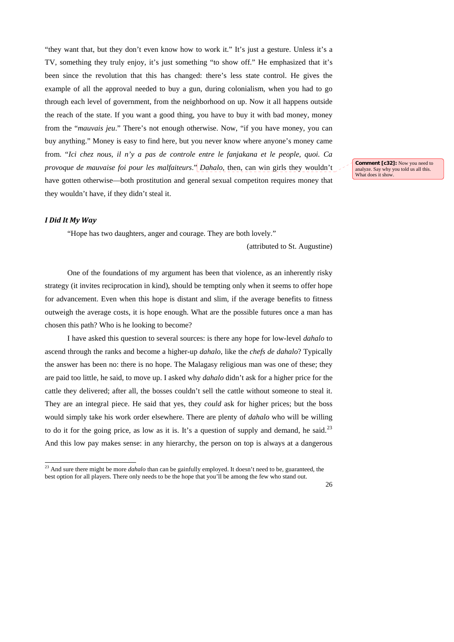"they want that, but they don't even know how to work it." It's just a gesture. Unless it's a TV, something they truly enjoy, it's just something "to show off." He emphasized that it's been since the revolution that this has changed: there's less state control. He gives the example of all the approval needed to buy a gun, during colonialism, when you had to go through each level of government, from the neighborhood on up. Now it all happens outside the reach of the state. If you want a good thing, you have to buy it with bad money, money from the "*mauvais jeu*." There's not enough otherwise. Now, "if you have money, you can buy anything." Money is easy to find here, but you never know where anyone's money came from. "*Ici chez nous, il n'y a pas de controle entre le fanjakana et le people, quoi. Ca provoque de mauvaise foi pour les malfaiteurs*." *Dahalo*, then, can win girls they wouldn't have gotten otherwise—both prostitution and general sexual competiton requires money that they wouldn't have, if they didn't steal it.

**Comment [c32]:** Now you need to analyze. Say why you told us all this. What does it show

## *I Did It My Way*

-

"Hope has two daughters, anger and courage. They are both lovely."

(attributed to St. Augustine)

One of the foundations of my argument has been that violence, as an inherently risky strategy (it invites reciprocation in kind), should be tempting only when it seems to offer hope for advancement. Even when this hope is distant and slim, if the average benefits to fitness outweigh the average costs, it is hope enough. What are the possible futures once a man has chosen this path? Who is he looking to become?

I have asked this question to several sources: is there any hope for low-level *dahalo* to ascend through the ranks and become a higher-up *dahalo*, like the *chefs de dahalo*? Typically the answer has been no: there is no hope. The Malagasy religious man was one of these; they are paid too little, he said, to move up. I asked why *dahalo* didn't ask for a higher price for the cattle they delivered; after all, the bosses couldn't sell the cattle without someone to steal it. They are an integral piece. He said that yes, they *could* ask for higher prices; but the boss would simply take his work order elsewhere. There are plenty of *dahalo* who will be willing to do it for the going price, as low as it is. It's a question of supply and demand, he said.<sup>[23](#page-25-0)</sup> And this low pay makes sense: in any hierarchy, the person on top is always at a dangerous

<span id="page-25-0"></span><sup>&</sup>lt;sup>23</sup> And sure there might be more *dahalo* than can be gainfully employed. It doesn't need to be, guaranteed, the best option for all players. There only needs to be the hope that you'll be among the few who stand out.

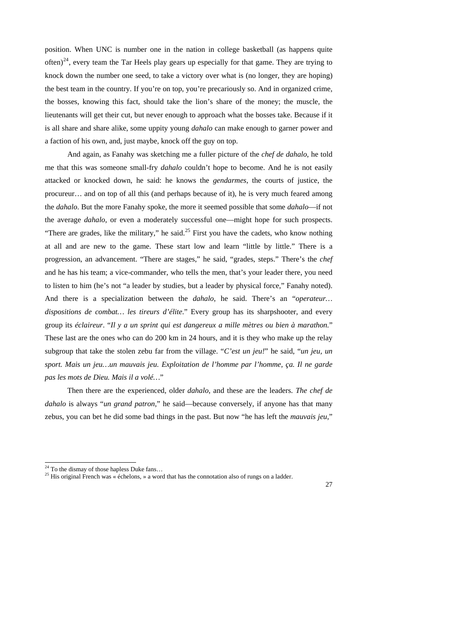position. When UNC is number one in the nation in college basketball (as happens quite often)<sup>[24](#page-26-0)</sup>, every team the Tar Heels play gears up especially for that game. They are trying to knock down the number one seed, to take a victory over what is (no longer, they are hoping) the best team in the country. If you're on top, you're precariously so. And in organized crime, the bosses, knowing this fact, should take the lion's share of the money; the muscle, the lieutenants will get their cut, but never enough to approach what the bosses take. Because if it is all share and share alike, some uppity young *dahalo* can make enough to garner power and a faction of his own, and, just maybe, knock off the guy on top.

 And again, as Fanahy was sketching me a fuller picture of the *chef de dahalo*, he told me that this was someone small-fry *dahalo* couldn't hope to become. And he is not easily attacked or knocked down, he said: he knows the *gendarmes*, the courts of justice, the procureur… and on top of all this (and perhaps because of it), he is very much feared among the *dahalo*. But the more Fanahy spoke, the more it seemed possible that some *dahalo*—if not the average *dahalo*, or even a moderately successful one—might hope for such prospects. "There are grades, like the military," he said.<sup>25</sup> First you have the cadets, who know nothing at all and are new to the game. These start low and learn "little by little." There is a progression, an advancement. "There are stages," he said, "grades, steps." There's the *chef* and he has his team; a vice-commander, who tells the men, that's your leader there, you need to listen to him (he's not "a leader by studies, but a leader by physical force," Fanahy noted). And there is a specialization between the *dahalo*, he said. There's an "*operateur… dispositions de combat… les tireurs d'élite*." Every group has its sharpshooter, and every group its *éclaireur*. "*Il y a un sprint qui est dangereux a mille mètres ou bien à marathon.*" These last are the ones who can do 200 km in 24 hours, and it is they who make up the relay subgroup that take the stolen zebu far from the village. "*C'est un jeu!*" he said, "*un jeu, un sport. Mais un jeu…un mauvais jeu. Exploitation de l'homme par l'homme, ça. Il ne garde pas les mots de Dieu. Mais il a volé…*"

Then there are the experienced, older *dahalo*, and these are the leaders. *The chef de dahalo* is always "*un grand patron*," he said—because conversely, if anyone has that many zebus, you can bet he did some bad things in the past. But now "he has left the *mauvais jeu*,"

-

<sup>&</sup>lt;sup>24</sup> To the dismay of those hapless Duke fans...

<span id="page-26-1"></span><span id="page-26-0"></span><sup>&</sup>lt;sup>25</sup> His original French was « échelons, » a word that has the connotation also of rungs on a ladder.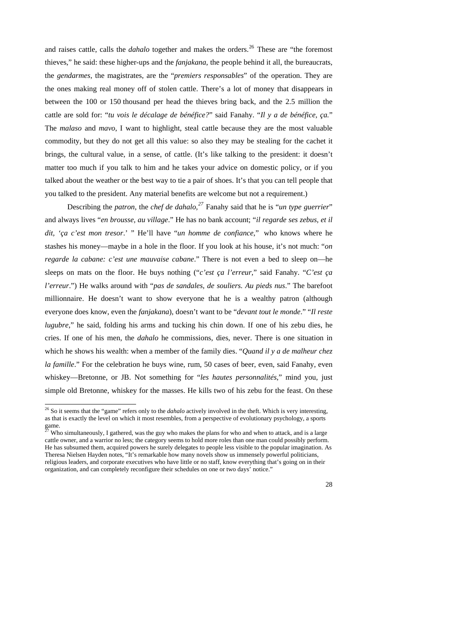and raises cattle, calls the *dahalo* together and makes the orders.<sup>[26](#page-27-0)</sup> These are "the foremost" thieves," he said: these higher-ups and the *fanjakana*, the people behind it all, the bureaucrats, the *gendarmes*, the magistrates, are the "*premiers responsables*" of the operation. They are the ones making real money off of stolen cattle. There's a lot of money that disappears in between the 100 or 150 thousand per head the thieves bring back, and the 2.5 million the cattle are sold for: "*tu vois le décalage de bénéfice?*" said Fanahy. "*Il y a de bénéfice, ça.*" The *malaso* and *mavo*, I want to highlight, steal cattle because they are the most valuable commodity, but they do not get all this value: so also they may be stealing for the cachet it brings, the cultural value, in a sense, of cattle. (It's like talking to the president: it doesn't matter too much if you talk to him and he takes your advice on domestic policy, or if you talked about the weather or the best way to tie a pair of shoes. It's that you can tell people that you talked to the president. Any material benefits are welcome but not a requirement.)

Describing the *patron*, the *chef de dahalo,[27](#page-27-1)* Fanahy said that he is "*un type guerrier*" and always lives "*en brousse, au village*." He has no bank account; "*il regarde ses zebus, et il dit, 'ça c'est mon tresor*.' " He'll have "*un homme de confiance*," who knows where he stashes his money—maybe in a hole in the floor. If you look at his house, it's not much: "*on regarde la cabane: c'est une mauvaise cabane*." There is not even a bed to sleep on—he sleeps on mats on the floor. He buys nothing ("*c'est ça l'erreur*," said Fanahy. "*C'est ça l'erreur*.") He walks around with "*pas de sandales, de souliers. Au pieds nus*." The barefoot millionnaire. He doesn't want to show everyone that he is a wealthy patron (although everyone does know, even the *fanjakana*), doesn't want to be "*devant tout le monde*." "*Il reste lugubre*," he said, folding his arms and tucking his chin down. If one of his zebu dies, he cries. If one of his men, the *dahalo* he commissions, dies, never. There is one situation in which he shows his wealth: when a member of the family dies. "*Quand il y a de malheur chez la famille*." For the celebration he buys wine, rum, 50 cases of beer, even, said Fanahy, even whiskey—Bretonne, or JB. Not something for "*les hautes personnalités*," mind you, just simple old Bretonne, whiskey for the masses. He kills two of his zebu for the feast. On these

-

<sup>26</sup> So it seems that the "game" refers only to the *dahalo* actively involved in the theft. Which is very interesting, as that is exactly the level on which it most resembles, from a perspective of evolutionary psychology, a sports  $\frac{$  game.

<span id="page-27-1"></span><span id="page-27-0"></span>Who simultaneously, I gathered, was the guy who makes the plans for who and when to attack, and is a large cattle owner, and a warrior no less; the category seems to hold more roles than one man could possibly perform. He has subsumed them, acquired powers he surely delegates to people less visible to the popular imagination. As Theresa Nielsen Hayden notes, "It's remarkable how many novels show us immensely powerful politicians, religious leaders, and corporate executives who have little or no staff, know everything that's going on in their organization, and can completely reconfigure their schedules on one or two days' notice."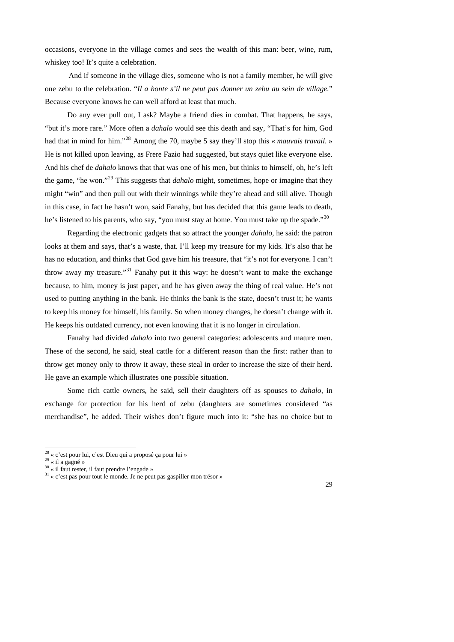occasions, everyone in the village comes and sees the wealth of this man: beer, wine, rum, whiskey too! It's quite a celebration.

And if someone in the village dies, someone who is not a family member, he will give one zebu to the celebration. "*Il a honte s'il ne peut pas donner un zebu au sein de village.*" Because everyone knows he can well afford at least that much.

Do any ever pull out, I ask? Maybe a friend dies in combat. That happens, he says, "but it's more rare." More often a *dahalo* would see this death and say, "That's for him, God had that in mind for him."[28](#page-28-0) Among the 70, maybe 5 say they'll stop this « *mauvais travail*. » He is not killed upon leaving, as Frere Fazio had suggested, but stays quiet like everyone else. And his chef de *dahalo* knows that that was one of his men, but thinks to himself, oh, he's left the game, "he won."[29](#page-28-1) This suggests that *dahalo* might, sometimes, hope or imagine that they might "win" and then pull out with their winnings while they're ahead and still alive. Though in this case, in fact he hasn't won, said Fanahy, but has decided that this game leads to death, he's listened to his parents, who say, "you must stay at home. You must take up the spade."<sup>[30](#page-28-2)</sup>

Regarding the electronic gadgets that so attract the younger *dahalo*, he said: the patron looks at them and says, that's a waste, that. I'll keep my treasure for my kids. It's also that he has no education, and thinks that God gave him his treasure, that "it's not for everyone. I can't throw away my treasure."<sup>[31](#page-28-3)</sup> Fanahy put it this way: he doesn't want to make the exchange because, to him, money is just paper, and he has given away the thing of real value. He's not used to putting anything in the bank. He thinks the bank is the state, doesn't trust it; he wants to keep his money for himself, his family. So when money changes, he doesn't change with it. He keeps his outdated currency, not even knowing that it is no longer in circulation.

 Fanahy had divided *dahalo* into two general categories: adolescents and mature men. These of the second, he said, steal cattle for a different reason than the first: rather than to throw get money only to throw it away, these steal in order to increase the size of their herd. He gave an example which illustrates one possible situation.

 Some rich cattle owners, he said, sell their daughters off as spouses to *dahalo*, in exchange for protection for his herd of zebu (daughters are sometimes considered "as merchandise", he added. Their wishes don't figure much into it: "she has no choice but to

-



 $28 \times c$ 'est pour lui, c'est Dieu qui a proposé ça pour lui »

 $^{29}$  « il a gagné »

<sup>30 «</sup> il faut rester, il faut prendre l'engade »

<span id="page-28-3"></span><span id="page-28-2"></span><span id="page-28-1"></span><span id="page-28-0"></span><sup>&</sup>lt;sup>31</sup> « c'est pas pour tout le monde. Je ne peut pas gaspiller mon trésor »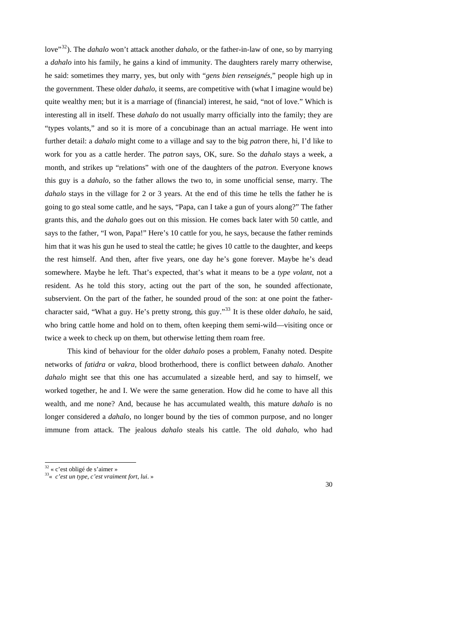love<sup>"[32](#page-29-0)</sup>). The *dahalo* won't attack another *dahalo*, or the father-in-law of one, so by marrying a *dahalo* into his family, he gains a kind of immunity. The daughters rarely marry otherwise, he said: sometimes they marry, yes, but only with "*gens bien renseignés*," people high up in the government. These older *dahalo*, it seems, are competitive with (what I imagine would be) quite wealthy men; but it is a marriage of (financial) interest, he said, "not of love." Which is interesting all in itself. These *dahalo* do not usually marry officially into the family; they are "types volants," and so it is more of a concubinage than an actual marriage. He went into further detail: a *dahalo* might come to a village and say to the big *patron* there, hi, I'd like to work for you as a cattle herder. The *patron* says, OK, sure. So the *dahalo* stays a week, a month, and strikes up "relations" with one of the daughters of the *patron*. Everyone knows this guy is a *dahalo*, so the father allows the two to, in some unofficial sense, marry. The *dahalo* stays in the village for 2 or 3 years. At the end of this time he tells the father he is going to go steal some cattle, and he says, "Papa, can I take a gun of yours along?" The father grants this, and the *dahalo* goes out on this mission. He comes back later with 50 cattle, and says to the father, "I won, Papa!" Here's 10 cattle for you, he says, because the father reminds him that it was his gun he used to steal the cattle; he gives 10 cattle to the daughter, and keeps the rest himself. And then, after five years, one day he's gone forever. Maybe he's dead somewhere. Maybe he left. That's expected, that's what it means to be a *type volant*, not a resident. As he told this story, acting out the part of the son, he sounded affectionate, subservient. On the part of the father, he sounded proud of the son: at one point the fathercharacter said, "What a guy. He's pretty strong, this guy."[33](#page-29-1) It is these older *dahalo*, he said, who bring cattle home and hold on to them, often keeping them semi-wild—visiting once or twice a week to check up on them, but otherwise letting them roam free.

This kind of behaviour for the older *dahalo* poses a problem, Fanahy noted. Despite networks of *fatidra* or *vakra*, blood brotherhood, there is conflict between *dahalo*. Another *dahalo* might see that this one has accumulated a sizeable herd, and say to himself, we worked together, he and I. We were the same generation. How did he come to have all this wealth, and me none? And, because he has accumulated wealth, this mature *dahalo* is no longer considered a *dahalo*, no longer bound by the ties of common purpose, and no longer immune from attack. The jealous *dahalo* steals his cattle. The old *dahalo*, who had

-

 $32 \times c$ 'est obligé de s'aimer »

<span id="page-29-1"></span><span id="page-29-0"></span><sup>33«</sup> *c'est un type, c'est vraiment fort, lui*. »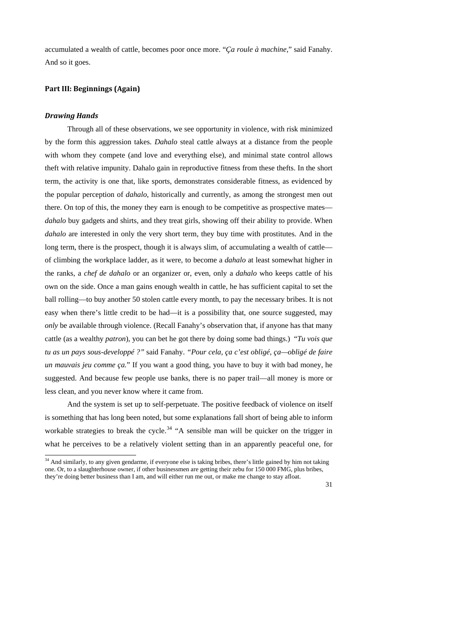accumulated a wealth of cattle, becomes poor once more. "*Ça roule à machine*," said Fanahy. And so it goes.

# **Part III: Beginnings (Again)**

## *Drawing Hands*

-

Through all of these observations, we see opportunity in violence, with risk minimized by the form this aggression takes. *Dahalo* steal cattle always at a distance from the people with whom they compete (and love and everything else), and minimal state control allows theft with relative impunity. Dahalo gain in reproductive fitness from these thefts. In the short term, the activity is one that, like sports, demonstrates considerable fitness, as evidenced by the popular perception of *dahalo*, historically and currently, as among the strongest men out there. On top of this, the money they earn is enough to be competitive as prospective mates *dahalo* buy gadgets and shirts, and they treat girls, showing off their ability to provide. When *dahalo* are interested in only the very short term, they buy time with prostitutes. And in the long term, there is the prospect, though it is always slim, of accumulating a wealth of cattle of climbing the workplace ladder, as it were, to become a *dahalo* at least somewhat higher in the ranks, a *chef de dahalo* or an organizer or, even, only a *dahalo* who keeps cattle of his own on the side. Once a man gains enough wealth in cattle, he has sufficient capital to set the ball rolling—to buy another 50 stolen cattle every month, to pay the necessary bribes. It is not easy when there's little credit to be had—it is a possibility that, one source suggested, may *only* be available through violence. (Recall Fanahy's observation that, if anyone has that many cattle (as a wealthy *patron*), you can bet he got there by doing some bad things.) "*Tu vois que tu as un pays sous-developpé ?"* said Fanahy. *"Pour cela, ça c'est obligé, ça—obligé de faire un mauvais jeu comme ça.*" If you want a good thing, you have to buy it with bad money, he suggested. And because few people use banks, there is no paper trail—all money is more or less clean, and you never know where it came from.

And the system is set up to self-perpetuate. The positive feedback of violence on itself is something that has long been noted, but some explanations fall short of being able to inform workable strategies to break the cycle.<sup>34</sup> "A sensible man will be quicker on the trigger in what he perceives to be a relatively violent setting than in an apparently peaceful one, for

<span id="page-30-0"></span> $34$  And similarly, to any given gendarme, if everyone else is taking bribes, there's little gained by him not taking one. Or, to a slaughterhouse owner, if other businessmen are getting their zebu for 150 000 FMG, plus bribes, they're doing better business than I am, and will either run me out, or make me change to stay afloat.

<sup>31</sup>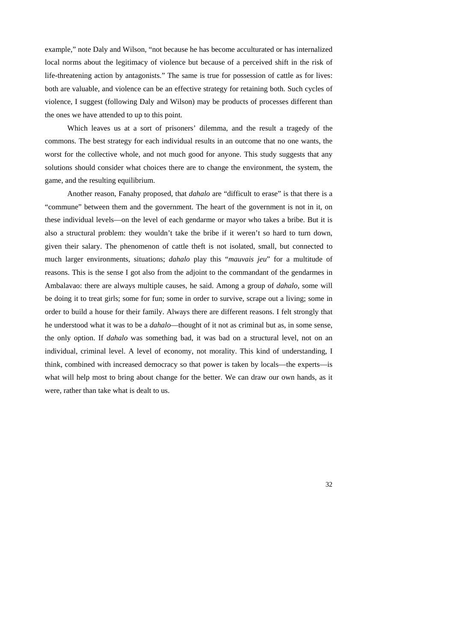example," note Daly and Wilson, "not because he has become acculturated or has internalized local norms about the legitimacy of violence but because of a perceived shift in the risk of life-threatening action by antagonists." The same is true for possession of cattle as for lives: both are valuable, and violence can be an effective strategy for retaining both. Such cycles of violence, I suggest (following Daly and Wilson) may be products of processes different than the ones we have attended to up to this point.

Which leaves us at a sort of prisoners' dilemma, and the result a tragedy of the commons. The best strategy for each individual results in an outcome that no one wants, the worst for the collective whole, and not much good for anyone. This study suggests that any solutions should consider what choices there are to change the environment, the system, the game, and the resulting equilibrium.

Another reason, Fanahy proposed, that *dahalo* are "difficult to erase" is that there is a "commune" between them and the government. The heart of the government is not in it, on these individual levels—on the level of each gendarme or mayor who takes a bribe. But it is also a structural problem: they wouldn't take the bribe if it weren't so hard to turn down, given their salary. The phenomenon of cattle theft is not isolated, small, but connected to much larger environments, situations; *dahalo* play this "*mauvais jeu*" for a multitude of reasons. This is the sense I got also from the adjoint to the commandant of the gendarmes in Ambalavao: there are always multiple causes, he said. Among a group of *dahalo*, some will be doing it to treat girls; some for fun; some in order to survive, scrape out a living; some in order to build a house for their family. Always there are different reasons. I felt strongly that he understood what it was to be a *dahalo*—thought of it not as criminal but as, in some sense, the only option. If *dahalo* was something bad, it was bad on a structural level, not on an individual, criminal level. A level of economy, not morality. This kind of understanding, I think, combined with increased democracy so that power is taken by locals—the experts—is what will help most to bring about change for the better. We can draw our own hands, as it were, rather than take what is dealt to us.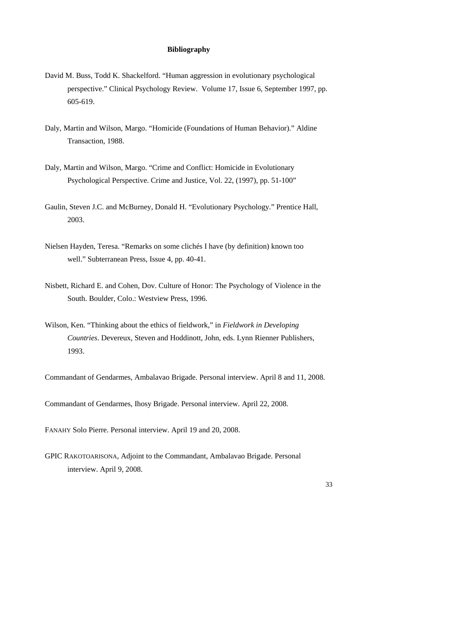## **Bibliography**

- David M. Buss, Todd K. Shackelford. "Human aggression in evolutionary psychological perspective." Clinical Psychology Review. Volume 17, Issue 6, September 1997, pp. 605-619.
- Daly, Martin and Wilson, Margo. "Homicide (Foundations of Human Behavior)." Aldine Transaction, 1988.
- Daly, Martin and Wilson, Margo. "Crime and Conflict: Homicide in Evolutionary Psychological Perspective. Crime and Justice, Vol. 22, (1997), pp. 51-100"
- Gaulin, Steven J.C. and McBurney, Donald H. "Evolutionary Psychology." Prentice Hall, 2003.
- Nielsen Hayden, Teresa. "Remarks on some clichés I have (by definition) known too well." Subterranean Press, Issue 4, pp. 40-41.
- Nisbett, Richard E. and Cohen, Dov. Culture of Honor: The Psychology of Violence in the South. Boulder, Colo.: Westview Press, 1996.
- Wilson, Ken. "Thinking about the ethics of fieldwork," in *Fieldwork in Developing Countries*. Devereux, Steven and Hoddinott, John, eds. Lynn Rienner Publishers, 1993.

Commandant of Gendarmes, Ambalavao Brigade. Personal interview. April 8 and 11, 2008.

Commandant of Gendarmes, Ihosy Brigade. Personal interview. April 22, 2008.

FANAHY Solo Pierre. Personal interview. April 19 and 20, 2008.

GPIC RAKOTOARISONA, Adjoint to the Commandant, Ambalavao Brigade. Personal interview. April 9, 2008.